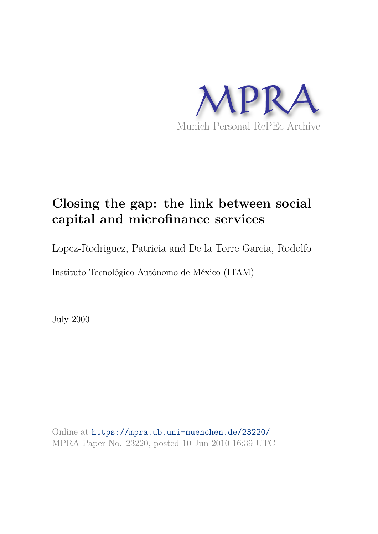

# **Closing the gap: the link between social capital and microfinance services**

Lopez-Rodriguez, Patricia and De la Torre Garcia, Rodolfo

Instituto Tecnológico Autónomo de México (ITAM)

July 2000

Online at https://mpra.ub.uni-muenchen.de/23220/ MPRA Paper No. 23220, posted 10 Jun 2010 16:39 UTC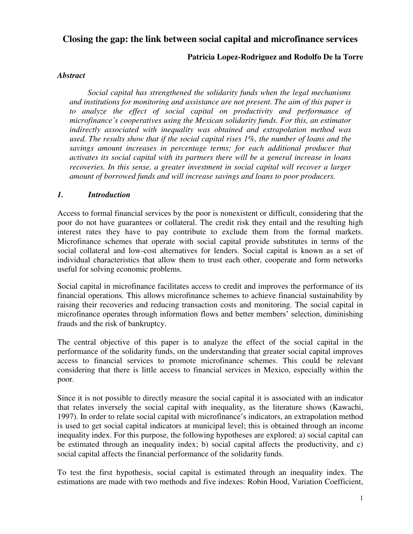## **Closing the gap: the link between social capital and microfinance services**

## **Patricia Lopez-Rodriguez and Rodolfo De la Torre**

#### *Abstract*

*Social capital has strengthened the solidarity funds when the legal mechanisms and institutions for monitoring and assistance are not present. The aim of this paper is*  to analyze the effect of social capital on productivity and performance of *microfinance's cooperatives using the Mexican solidarity funds. For this, an estimator indirectly associated with inequality was obtained and extrapolation method was used. The results show that if the social capital rises 1%, the number of loans and the savings amount increases in percentage terms; for each additional producer that activates its social capital with its partners there will be a general increase in loans recoveries. In this sense, a greater investment in social capital will recover a larger amount of borrowed funds and will increase savings and loans to poor producers.* 

#### *1. Introduction*

Access to formal financial services by the poor is nonexistent or difficult, considering that the poor do not have guarantees or collateral. The credit risk they entail and the resulting high interest rates they have to pay contribute to exclude them from the formal markets. Microfinance schemes that operate with social capital provide substitutes in terms of the social collateral and low-cost alternatives for lenders. Social capital is known as a set of individual characteristics that allow them to trust each other, cooperate and form networks useful for solving economic problems.

Social capital in microfinance facilitates access to credit and improves the performance of its financial operations. This allows microfinance schemes to achieve financial sustainability by raising their recoveries and reducing transaction costs and monitoring. The social capital in microfinance operates through information flows and better members' selection, diminishing frauds and the risk of bankruptcy.

The central objective of this paper is to analyze the effect of the social capital in the performance of the solidarity funds, on the understanding that greater social capital improves access to financial services to promote microfinance schemes. This could be relevant considering that there is little access to financial services in Mexico, especially within the poor.

Since it is not possible to directly measure the social capital it is associated with an indicator that relates inversely the social capital with inequality, as the literature shows (Kawachi, 1997). In order to relate social capital with microfinance's indicators, an extrapolation method is used to get social capital indicators at municipal level; this is obtained through an income inequality index. For this purpose, the following hypotheses are explored: a) social capital can be estimated through an inequality index; b) social capital affects the productivity, and c) social capital affects the financial performance of the solidarity funds.

To test the first hypothesis, social capital is estimated through an inequality index. The estimations are made with two methods and five indexes: Robin Hood, Variation Coefficient,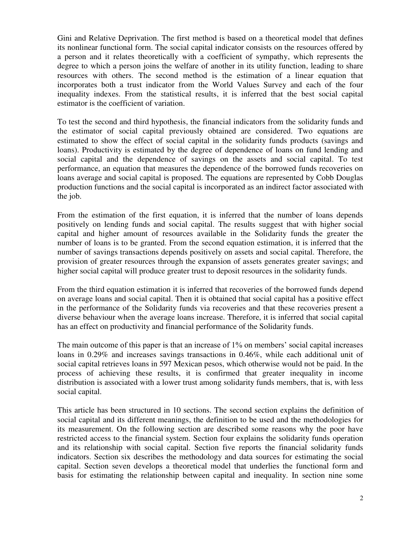Gini and Relative Deprivation. The first method is based on a theoretical model that defines its nonlinear functional form. The social capital indicator consists on the resources offered by a person and it relates theoretically with a coefficient of sympathy, which represents the degree to which a person joins the welfare of another in its utility function, leading to share resources with others. The second method is the estimation of a linear equation that incorporates both a trust indicator from the World Values Survey and each of the four inequality indexes. From the statistical results, it is inferred that the best social capital estimator is the coefficient of variation.

To test the second and third hypothesis, the financial indicators from the solidarity funds and the estimator of social capital previously obtained are considered. Two equations are estimated to show the effect of social capital in the solidarity funds products (savings and loans). Productivity is estimated by the degree of dependence of loans on fund lending and social capital and the dependence of savings on the assets and social capital. To test performance, an equation that measures the dependence of the borrowed funds recoveries on loans average and social capital is proposed. The equations are represented by Cobb Douglas production functions and the social capital is incorporated as an indirect factor associated with the job.

From the estimation of the first equation, it is inferred that the number of loans depends positively on lending funds and social capital. The results suggest that with higher social capital and higher amount of resources available in the Solidarity funds the greater the number of loans is to be granted. From the second equation estimation, it is inferred that the number of savings transactions depends positively on assets and social capital. Therefore, the provision of greater resources through the expansion of assets generates greater savings; and higher social capital will produce greater trust to deposit resources in the solidarity funds.

From the third equation estimation it is inferred that recoveries of the borrowed funds depend on average loans and social capital. Then it is obtained that social capital has a positive effect in the performance of the Solidarity funds via recoveries and that these recoveries present a diverse behaviour when the average loans increase. Therefore, it is inferred that social capital has an effect on productivity and financial performance of the Solidarity funds.

The main outcome of this paper is that an increase of 1% on members' social capital increases loans in 0.29% and increases savings transactions in 0.46%, while each additional unit of social capital retrieves loans in 597 Mexican pesos, which otherwise would not be paid. In the process of achieving these results, it is confirmed that greater inequality in income distribution is associated with a lower trust among solidarity funds members, that is, with less social capital.

This article has been structured in 10 sections. The second section explains the definition of social capital and its different meanings, the definition to be used and the methodologies for its measurement. On the following section are described some reasons why the poor have restricted access to the financial system. Section four explains the solidarity funds operation and its relationship with social capital. Section five reports the financial solidarity funds indicators. Section six describes the methodology and data sources for estimating the social capital. Section seven develops a theoretical model that underlies the functional form and basis for estimating the relationship between capital and inequality. In section nine some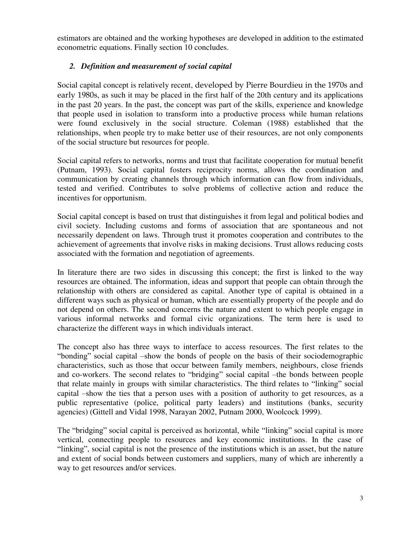estimators are obtained and the working hypotheses are developed in addition to the estimated econometric equations. Finally section 10 concludes.

## *2. Definition and measurement of social capital*

Social capital concept is relatively recent, developed by Pierre Bourdieu in the 1970s and early 1980s, as such it may be placed in the first half of the 20th century and its applications in the past 20 years. In the past, the concept was part of the skills, experience and knowledge that people used in isolation to transform into a productive process while human relations were found exclusively in the social structure. Coleman (1988) established that the relationships, when people try to make better use of their resources, are not only components of the social structure but resources for people.

Social capital refers to networks, norms and trust that facilitate cooperation for mutual benefit (Putnam, 1993). Social capital fosters reciprocity norms, allows the coordination and communication by creating channels through which information can flow from individuals, tested and verified. Contributes to solve problems of collective action and reduce the incentives for opportunism.

Social capital concept is based on trust that distinguishes it from legal and political bodies and civil society. Including customs and forms of association that are spontaneous and not necessarily dependent on laws. Through trust it promotes cooperation and contributes to the achievement of agreements that involve risks in making decisions. Trust allows reducing costs associated with the formation and negotiation of agreements.

In literature there are two sides in discussing this concept; the first is linked to the way resources are obtained. The information, ideas and support that people can obtain through the relationship with others are considered as capital. Another type of capital is obtained in a different ways such as physical or human, which are essentially property of the people and do not depend on others. The second concerns the nature and extent to which people engage in various informal networks and formal civic organizations. The term here is used to characterize the different ways in which individuals interact.

The concept also has three ways to interface to access resources. The first relates to the "bonding" social capital –show the bonds of people on the basis of their sociodemographic characteristics, such as those that occur between family members, neighbours, close friends and co-workers. The second relates to "bridging" social capital –the bonds between people that relate mainly in groups with similar characteristics. The third relates to "linking" social capital –show the ties that a person uses with a position of authority to get resources, as a public representative (police, political party leaders) and institutions (banks, security agencies) (Gittell and Vidal 1998, Narayan 2002, Putnam 2000, Woolcock 1999).

The "bridging" social capital is perceived as horizontal, while "linking" social capital is more vertical, connecting people to resources and key economic institutions. In the case of "linking", social capital is not the presence of the institutions which is an asset, but the nature and extent of social bonds between customers and suppliers, many of which are inherently a way to get resources and/or services.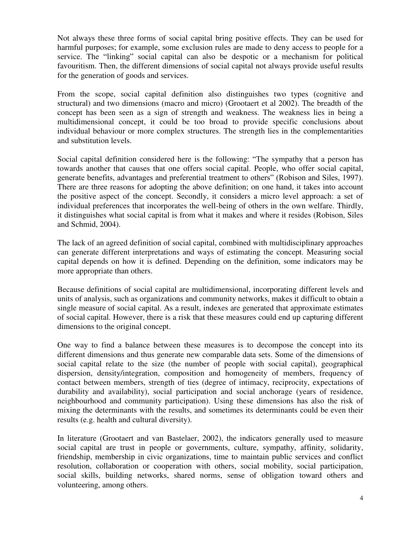Not always these three forms of social capital bring positive effects. They can be used for harmful purposes; for example, some exclusion rules are made to deny access to people for a service. The "linking" social capital can also be despotic or a mechanism for political favouritism. Then, the different dimensions of social capital not always provide useful results for the generation of goods and services.

From the scope, social capital definition also distinguishes two types (cognitive and structural) and two dimensions (macro and micro) (Grootaert et al 2002). The breadth of the concept has been seen as a sign of strength and weakness. The weakness lies in being a multidimensional concept, it could be too broad to provide specific conclusions about individual behaviour or more complex structures. The strength lies in the complementarities and substitution levels.

Social capital definition considered here is the following: "The sympathy that a person has towards another that causes that one offers social capital. People, who offer social capital, generate benefits, advantages and preferential treatment to others" (Robison and Siles, 1997). There are three reasons for adopting the above definition; on one hand, it takes into account the positive aspect of the concept. Secondly, it considers a micro level approach: a set of individual preferences that incorporates the well-being of others in the own welfare. Thirdly, it distinguishes what social capital is from what it makes and where it resides (Robison, Siles and Schmid, 2004).

The lack of an agreed definition of social capital, combined with multidisciplinary approaches can generate different interpretations and ways of estimating the concept. Measuring social capital depends on how it is defined. Depending on the definition, some indicators may be more appropriate than others.

Because definitions of social capital are multidimensional, incorporating different levels and units of analysis, such as organizations and community networks, makes it difficult to obtain a single measure of social capital. As a result, indexes are generated that approximate estimates of social capital. However, there is a risk that these measures could end up capturing different dimensions to the original concept.

One way to find a balance between these measures is to decompose the concept into its different dimensions and thus generate new comparable data sets. Some of the dimensions of social capital relate to the size (the number of people with social capital), geographical dispersion, density/integration, composition and homogeneity of members, frequency of contact between members, strength of ties (degree of intimacy, reciprocity, expectations of durability and availability), social participation and social anchorage (years of residence, neighbourhood and community participation). Using these dimensions has also the risk of mixing the determinants with the results, and sometimes its determinants could be even their results (e.g. health and cultural diversity).

In literature (Grootaert and van Bastelaer, 2002), the indicators generally used to measure social capital are trust in people or governments, culture, sympathy, affinity, solidarity, friendship, membership in civic organizations, time to maintain public services and conflict resolution, collaboration or cooperation with others, social mobility, social participation, social skills, building networks, shared norms, sense of obligation toward others and volunteering, among others.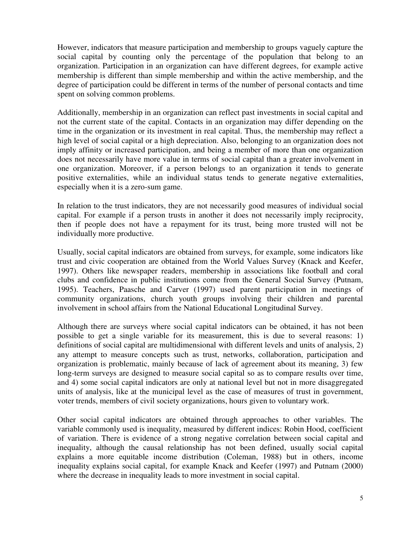However, indicators that measure participation and membership to groups vaguely capture the social capital by counting only the percentage of the population that belong to an organization. Participation in an organization can have different degrees, for example active membership is different than simple membership and within the active membership, and the degree of participation could be different in terms of the number of personal contacts and time spent on solving common problems.

Additionally, membership in an organization can reflect past investments in social capital and not the current state of the capital. Contacts in an organization may differ depending on the time in the organization or its investment in real capital. Thus, the membership may reflect a high level of social capital or a high depreciation. Also, belonging to an organization does not imply affinity or increased participation, and being a member of more than one organization does not necessarily have more value in terms of social capital than a greater involvement in one organization. Moreover, if a person belongs to an organization it tends to generate positive externalities, while an individual status tends to generate negative externalities, especially when it is a zero-sum game.

In relation to the trust indicators, they are not necessarily good measures of individual social capital. For example if a person trusts in another it does not necessarily imply reciprocity, then if people does not have a repayment for its trust, being more trusted will not be individually more productive.

Usually, social capital indicators are obtained from surveys, for example, some indicators like trust and civic cooperation are obtained from the World Values Survey (Knack and Keefer, 1997). Others like newspaper readers, membership in associations like football and coral clubs and confidence in public institutions come from the General Social Survey (Putnam, 1995). Teachers, Paasche and Carver (1997) used parent participation in meetings of community organizations, church youth groups involving their children and parental involvement in school affairs from the National Educational Longitudinal Survey.

Although there are surveys where social capital indicators can be obtained, it has not been possible to get a single variable for its measurement, this is due to several reasons: 1) definitions of social capital are multidimensional with different levels and units of analysis, 2) any attempt to measure concepts such as trust, networks, collaboration, participation and organization is problematic, mainly because of lack of agreement about its meaning, 3) few long-term surveys are designed to measure social capital so as to compare results over time, and 4) some social capital indicators are only at national level but not in more disaggregated units of analysis, like at the municipal level as the case of measures of trust in government, voter trends, members of civil society organizations, hours given to voluntary work.

Other social capital indicators are obtained through approaches to other variables. The variable commonly used is inequality, measured by different indices: Robin Hood, coefficient of variation. There is evidence of a strong negative correlation between social capital and inequality, although the causal relationship has not been defined, usually social capital explains a more equitable income distribution (Coleman, 1988) but in others, income inequality explains social capital, for example Knack and Keefer (1997) and Putnam (2000) where the decrease in inequality leads to more investment in social capital.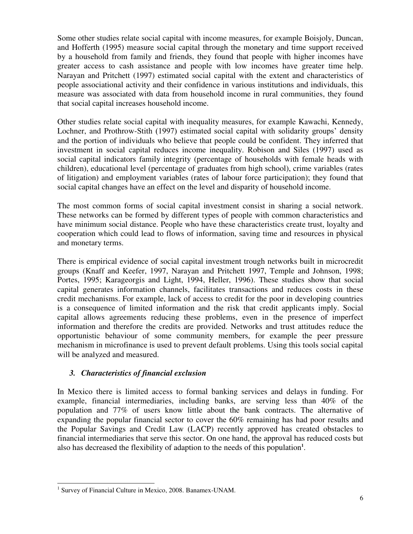Some other studies relate social capital with income measures, for example Boisjoly, Duncan, and Hofferth (1995) measure social capital through the monetary and time support received by a household from family and friends, they found that people with higher incomes have greater access to cash assistance and people with low incomes have greater time help. Narayan and Pritchett (1997) estimated social capital with the extent and characteristics of people associational activity and their confidence in various institutions and individuals, this measure was associated with data from household income in rural communities, they found that social capital increases household income.

Other studies relate social capital with inequality measures, for example Kawachi, Kennedy, Lochner, and Prothrow-Stith (1997) estimated social capital with solidarity groups' density and the portion of individuals who believe that people could be confident. They inferred that investment in social capital reduces income inequality. Robison and Siles (1997) used as social capital indicators family integrity (percentage of households with female heads with children), educational level (percentage of graduates from high school), crime variables (rates of litigation) and employment variables (rates of labour force participation); they found that social capital changes have an effect on the level and disparity of household income.

The most common forms of social capital investment consist in sharing a social network. These networks can be formed by different types of people with common characteristics and have minimum social distance. People who have these characteristics create trust, loyalty and cooperation which could lead to flows of information, saving time and resources in physical and monetary terms.

There is empirical evidence of social capital investment trough networks built in microcredit groups (Knaff and Keefer, 1997, Narayan and Pritchett 1997, Temple and Johnson, 1998; Portes, 1995; Karageorgis and Light, 1994, Heller, 1996). These studies show that social capital generates information channels, facilitates transactions and reduces costs in these credit mechanisms. For example, lack of access to credit for the poor in developing countries is a consequence of limited information and the risk that credit applicants imply. Social capital allows agreements reducing these problems, even in the presence of imperfect information and therefore the credits are provided. Networks and trust attitudes reduce the opportunistic behaviour of some community members, for example the peer pressure mechanism in microfinance is used to prevent default problems. Using this tools social capital will be analyzed and measured.

## *3. Characteristics of financial exclusion*

In Mexico there is limited access to formal banking services and delays in funding. For example, financial intermediaries, including banks, are serving less than 40% of the population and 77% of users know little about the bank contracts. The alternative of expanding the popular financial sector to cover the 60% remaining has had poor results and the Popular Savings and Credit Law (LACP) recently approved has created obstacles to financial intermediaries that serve this sector. On one hand, the approval has reduced costs but also has decreased the flexibility of adaption to the needs of this population**<sup>1</sup>** .

 1 Survey of Financial Culture in Mexico, 2008. Banamex-UNAM.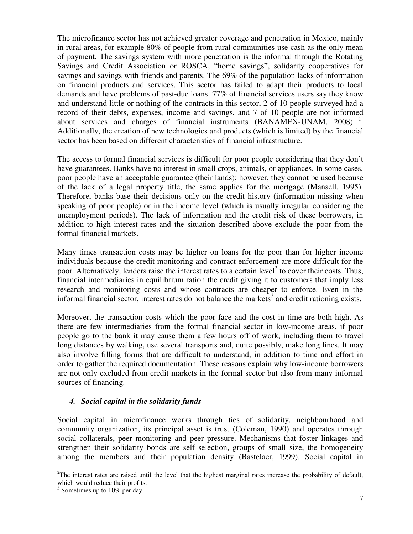The microfinance sector has not achieved greater coverage and penetration in Mexico, mainly in rural areas, for example 80% of people from rural communities use cash as the only mean of payment. The savings system with more penetration is the informal through the Rotating Savings and Credit Association or ROSCA, "home savings", solidarity cooperatives for savings and savings with friends and parents. The 69% of the population lacks of information on financial products and services. This sector has failed to adapt their products to local demands and have problems of past-due loans. 77% of financial services users say they know and understand little or nothing of the contracts in this sector, 2 of 10 people surveyed had a record of their debts, expenses, income and savings, and 7 of 10 people are not informed about services and charges of financial instruments  $(BANAMEX-UNAM, 2008)^{-1}$ . Additionally, the creation of new technologies and products (which is limited) by the financial sector has been based on different characteristics of financial infrastructure.

The access to formal financial services is difficult for poor people considering that they don't have guarantees. Banks have no interest in small crops, animals, or appliances. In some cases, poor people have an acceptable guarantee (their lands); however, they cannot be used because of the lack of a legal property title, the same applies for the mortgage (Mansell, 1995). Therefore, banks base their decisions only on the credit history (information missing when speaking of poor people) or in the income level (which is usually irregular considering the unemployment periods). The lack of information and the credit risk of these borrowers, in addition to high interest rates and the situation described above exclude the poor from the formal financial markets.

Many times transaction costs may be higher on loans for the poor than for higher income individuals because the credit monitoring and contract enforcement are more difficult for the poor. Alternatively, lenders raise the interest rates to a certain level<sup>2</sup> to cover their costs. Thus, financial intermediaries in equilibrium ration the credit giving it to customers that imply less research and monitoring costs and whose contracts are cheaper to enforce. Even in the informal financial sector, interest rates do not balance the markets<sup>3</sup> and credit rationing exists.

Moreover, the transaction costs which the poor face and the cost in time are both high. As there are few intermediaries from the formal financial sector in low-income areas, if poor people go to the bank it may cause them a few hours off of work, including them to travel long distances by walking, use several transports and, quite possibly, make long lines. It may also involve filling forms that are difficult to understand, in addition to time and effort in order to gather the required documentation. These reasons explain why low-income borrowers are not only excluded from credit markets in the formal sector but also from many informal sources of financing.

#### *4. Social capital in the solidarity funds*

Social capital in microfinance works through ties of solidarity, neighbourhood and community organization, its principal asset is trust (Coleman, 1990) and operates through social collaterals, peer monitoring and peer pressure. Mechanisms that foster linkages and strengthen their solidarity bonds are self selection, groups of small size, the homogeneity among the members and their population density (Bastelaer, 1999). Social capital in

j

 $2$ The interest rates are raised until the level that the highest marginal rates increase the probability of default, which would reduce their profits.

<sup>&</sup>lt;sup>3</sup> Sometimes up to 10% per day.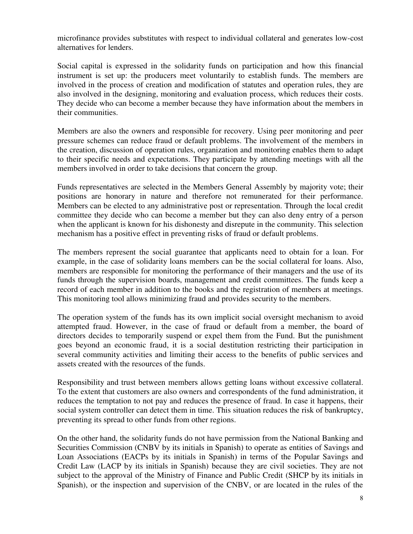microfinance provides substitutes with respect to individual collateral and generates low-cost alternatives for lenders.

Social capital is expressed in the solidarity funds on participation and how this financial instrument is set up: the producers meet voluntarily to establish funds. The members are involved in the process of creation and modification of statutes and operation rules, they are also involved in the designing, monitoring and evaluation process, which reduces their costs. They decide who can become a member because they have information about the members in their communities.

Members are also the owners and responsible for recovery. Using peer monitoring and peer pressure schemes can reduce fraud or default problems. The involvement of the members in the creation, discussion of operation rules, organization and monitoring enables them to adapt to their specific needs and expectations. They participate by attending meetings with all the members involved in order to take decisions that concern the group.

Funds representatives are selected in the Members General Assembly by majority vote; their positions are honorary in nature and therefore not remunerated for their performance. Members can be elected to any administrative post or representation. Through the local credit committee they decide who can become a member but they can also deny entry of a person when the applicant is known for his dishonesty and disrepute in the community. This selection mechanism has a positive effect in preventing risks of fraud or default problems.

The members represent the social guarantee that applicants need to obtain for a loan. For example, in the case of solidarity loans members can be the social collateral for loans. Also, members are responsible for monitoring the performance of their managers and the use of its funds through the supervision boards, management and credit committees. The funds keep a record of each member in addition to the books and the registration of members at meetings. This monitoring tool allows minimizing fraud and provides security to the members.

The operation system of the funds has its own implicit social oversight mechanism to avoid attempted fraud. However, in the case of fraud or default from a member, the board of directors decides to temporarily suspend or expel them from the Fund. But the punishment goes beyond an economic fraud, it is a social destitution restricting their participation in several community activities and limiting their access to the benefits of public services and assets created with the resources of the funds.

Responsibility and trust between members allows getting loans without excessive collateral. To the extent that customers are also owners and correspondents of the fund administration, it reduces the temptation to not pay and reduces the presence of fraud. In case it happens, their social system controller can detect them in time. This situation reduces the risk of bankruptcy, preventing its spread to other funds from other regions.

On the other hand, the solidarity funds do not have permission from the National Banking and Securities Commission (CNBV by its initials in Spanish) to operate as entities of Savings and Loan Associations (EACPs by its initials in Spanish) in terms of the Popular Savings and Credit Law (LACP by its initials in Spanish) because they are civil societies. They are not subject to the approval of the Ministry of Finance and Public Credit (SHCP by its initials in Spanish), or the inspection and supervision of the CNBV, or are located in the rules of the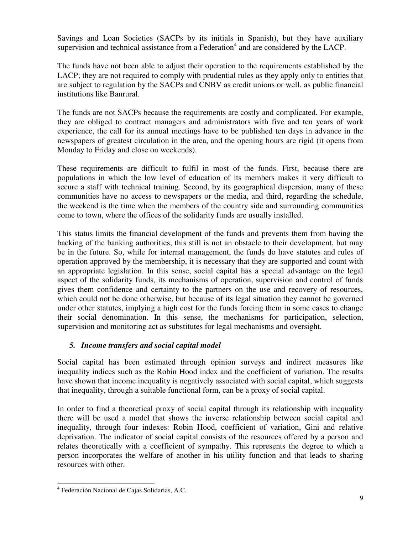Savings and Loan Societies (SACPs by its initials in Spanish), but they have auxiliary supervision and technical assistance from a Federation $4$  and are considered by the LACP.

The funds have not been able to adjust their operation to the requirements established by the LACP; they are not required to comply with prudential rules as they apply only to entities that are subject to regulation by the SACPs and CNBV as credit unions or well, as public financial institutions like Banrural.

The funds are not SACPs because the requirements are costly and complicated. For example, they are obliged to contract managers and administrators with five and ten years of work experience, the call for its annual meetings have to be published ten days in advance in the newspapers of greatest circulation in the area, and the opening hours are rigid (it opens from Monday to Friday and close on weekends).

These requirements are difficult to fulfil in most of the funds. First, because there are populations in which the low level of education of its members makes it very difficult to secure a staff with technical training. Second, by its geographical dispersion, many of these communities have no access to newspapers or the media, and third, regarding the schedule, the weekend is the time when the members of the country side and surrounding communities come to town, where the offices of the solidarity funds are usually installed.

This status limits the financial development of the funds and prevents them from having the backing of the banking authorities, this still is not an obstacle to their development, but may be in the future. So, while for internal management, the funds do have statutes and rules of operation approved by the membership, it is necessary that they are supported and count with an appropriate legislation. In this sense, social capital has a special advantage on the legal aspect of the solidarity funds, its mechanisms of operation, supervision and control of funds gives them confidence and certainty to the partners on the use and recovery of resources, which could not be done otherwise, but because of its legal situation they cannot be governed under other statutes, implying a high cost for the funds forcing them in some cases to change their social denomination. In this sense, the mechanisms for participation, selection, supervision and monitoring act as substitutes for legal mechanisms and oversight.

## *5. Income transfers and social capital model*

Social capital has been estimated through opinion surveys and indirect measures like inequality indices such as the Robin Hood index and the coefficient of variation. The results have shown that income inequality is negatively associated with social capital, which suggests that inequality, through a suitable functional form, can be a proxy of social capital.

In order to find a theoretical proxy of social capital through its relationship with inequality there will be used a model that shows the inverse relationship between social capital and inequality, through four indexes: Robin Hood, coefficient of variation, Gini and relative deprivation. The indicator of social capital consists of the resources offered by a person and relates theoretically with a coefficient of sympathy. This represents the degree to which a person incorporates the welfare of another in his utility function and that leads to sharing resources with other.

<sup>-</sup>4 Federación Nacional de Cajas Solidarias, A.C.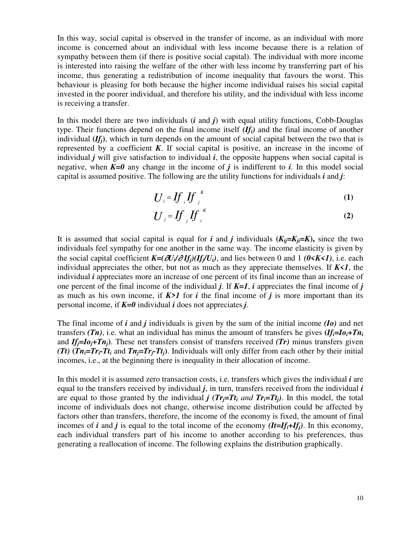In this way, social capital is observed in the transfer of income, as an individual with more income is concerned about an individual with less income because there is a relation of sympathy between them (if there is positive social capital). The individual with more income is interested into raising the welfare of the other with less income by transferring part of his income, thus generating a redistribution of income inequality that favours the worst. This behaviour is pleasing for both because the higher income individual raises his social capital invested in the poorer individual, and therefore his utility, and the individual with less income is receiving a transfer.

In this model there are two individuals (*i* and *j*) with equal utility functions, Cobb-Douglas type. Their functions depend on the final income itself *(Ifi)* and the final income of another individual  $(If<sub>i</sub>)$ , which in turn depends on the amount of social capital between the two that is represented by a coefficient  $K$ . If social capital is positive, an increase in the income of individual *j* will give satisfaction to individual *i*, the opposite happens when social capital is negative, when  $K=0$  any change in the income of *j* is indifferent to *i*. In this model social capital is assumed positive. The following are the utility functions for individuals *i* and *j*:

$$
U_i = \iint_i f_j^{k} \tag{1}
$$

$$
U_j = I f_j I f_i^{\kappa}
$$
 (2)

It is assumed that social capital is equal for *i* and *j* individuals  $(K_{ij} = K_{ji} = K)$ , since the two individuals feel sympathy for one another in the same way. The income elasticity is given by the social capital coefficient  $K=(\partial U_i/\partial H_i)(H_i/U_i)$ , and lies between 0 and 1 *(0<K<1)*, i.e. each individual appreciates the other, but not as much as they appreciate themselves. If  $K \le 1$ , the individual *i* appreciates more an increase of one percent of its final income than an increase of one percent of the final income of the individual *j*. If *K=1*, *i* appreciates the final income of *j* as much as his own income, if  $K>1$  for *i* the final income of *j* is more important than its personal income, if *K=0* individual *i* does not appreciates *j*.

The final income of *i* and *j* individuals is given by the sum of the initial income *(Io)* and net transfers *(Tn)*, i.e. what an individual has minus the amount of transfers he gives  $(If<sub>i</sub>=Io<sub>i</sub>+Tn<sub>i</sub>)$ and  $If_i = I_0 + T_n$ . These net transfers consist of transfers received *(Tr)* minus transfers given **(Tt)** ( $Tn_i = Tr_i - Tt_i$  and  $Tn_j = Tr_j - Tt_j$ ). Individuals will only differ from each other by their initial incomes, i.e., at the beginning there is inequality in their allocation of income.

In this model it is assumed zero transaction costs, i.e. transfers which gives the individual *i* are equal to the transfers received by individual *j*, in turn, transfers received from the individual *i* are equal to those granted by the individual *j*  $(Tr_j = Tt_i$  *and*  $Tr_i = Tt_i$ *)*. In this model, the total income of individuals does not change, otherwise income distribution could be affected by factors other than transfers, therefore, the income of the economy is fixed, the amount of final incomes of *i* and *j* is equal to the total income of the economy  $(It = If_i + If_j)$ . In this economy, each individual transfers part of his income to another according to his preferences, thus generating a reallocation of income. The following explains the distribution graphically.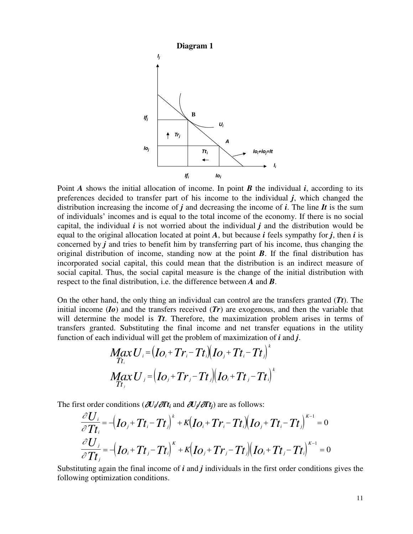

Point *A* shows the initial allocation of income. In point *B* the individual *i*, according to its preferences decided to transfer part of his income to the individual *j*, which changed the distribution increasing the income of *j* and decreasing the income of *i*. The line *It* is the sum of individuals' incomes and is equal to the total income of the economy. If there is no social capital, the individual  $\vec{i}$  is not worried about the individual  $\vec{j}$  and the distribution would be equal to the original allocation located at point *A*, but because *i* feels sympathy for *j*, then *i* is concerned by *j* and tries to benefit him by transferring part of his income, thus changing the original distribution of income, standing now at the point *B*. If the final distribution has incorporated social capital, this could mean that the distribution is an indirect measure of social capital. Thus, the social capital measure is the change of the initial distribution with respect to the final distribution, i.e. the difference between *A* and *B*.

On the other hand, the only thing an individual can control are the transfers granted (*Tt*). The initial income (*Io*) and the transfers received (*Tr*) are exogenous, and then the variable that will determine the model is *Tt*. Therefore, the maximization problem arises in terms of transfers granted. Substituting the final income and net transfer equations in the utility function of each individual will get the problem of maximization of *i* and *j*.

$$
M_{\overline{T}t_i}XU_i = (Io_i + Tr_i - Tt_i)(Io_j + Tt_i - Tt_j)^k
$$
  

$$
M_{\overline{T}t_j}XU_j = (Io_j + Tr_j - Tt_j)(Io_i + Tt_j - Tt_i)^k
$$

The first order conditions  $\left(\frac{\partial U_i}{\partial T_t}\right)$  and  $\frac{\partial U_i}{\partial T_t}$  are as follows:

$$
\frac{\partial U_i}{\partial T t_i} = -\left( I\mathbf{O}_j + T t_i - T t_j \right)^k + \kappa \left( I\mathbf{O}_i + T r_i - T t_i \right) \left( I\mathbf{O}_j + T t_i - T t_j \right)^{k-1} = 0
$$
\n
$$
\frac{\partial U_j}{\partial T t_j} = -\left( I\mathbf{O}_i + T t_j - T t_i \right)^k + \kappa \left( I\mathbf{O}_j + T r_j - T t_j \right) \left( I\mathbf{O}_i + T t_j - T t_i \right)^{k-1} = 0
$$

Substituting again the final income of *i* and *j* individuals in the first order conditions gives the following optimization conditions.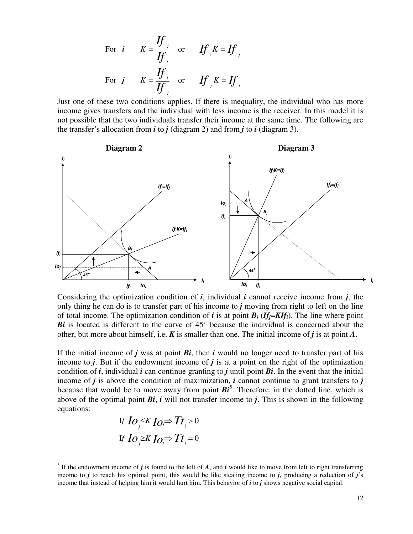For *i* 
$$
K = \frac{If}{If_{i}}
$$
 or  $If_{i} K = If_{j}$   
For *j*  $K = \frac{If_{i}}{If_{j}}$  or  $If_{j} K = If_{i}$ 

Just one of these two conditions applies. If there is inequality, the individual who has more income gives transfers and the individual with less income is the receiver. In this model it is not possible that the two individuals transfer their income at the same time. The following are the transfer's allocation from  $\boldsymbol{i}$  to  $\boldsymbol{j}$  (diagram 2) and from  $\boldsymbol{j}$  to  $\boldsymbol{i}$  (diagram 3).



Considering the optimization condition of *i*, individual *i* cannot receive income from *j*, the only thing he can do is to transfer part of his income to *j* moving from right to left on the line of total income. The optimization condition of *i* is at point  $B_i$  (**If**<sub>*j*</sub>=**KIf**<sub>*i*</sub>). The line where point *Bi* is located is different to the curve of 45° because the individual is concerned about the other, but more about himself, i.e. *K* is smaller than one. The initial income of *j* is at point *A*.

If the initial income of  $j$  was at point  $Bi$ , then  $i$  would no longer need to transfer part of his income to *j*. But if the endowment income of *j* is at a point on the right of the optimization condition of *i*, individual *i* can continue granting to *j* until point *Bi*. In the event that the initial income of  $j$  is above the condition of maximization,  $i$  cannot continue to grant transfers to  $j$ because that would be to move away from point  $Bi^5$ . Therefore, in the dotted line, which is above of the optimal point *Bi*, *i* will not transfer income to *j*. This is shown in the following equations:

If 
$$
I_O \leq K I_O \Rightarrow T_t > 0
$$
, if  $I_O \geq K I_O \Rightarrow T_t = 0$ .

j

<sup>&</sup>lt;sup>5</sup> If the endowment income of  $j$  is found to the left of  $A$ , and  $i$  would like to move from left to right transferring income to *j* to reach his optimal point, this would be like stealing income to *j*, producing a reduction of *j*'s income that instead of helping him it would hurt him. This behavior of *i* to *j* shows negative social capital.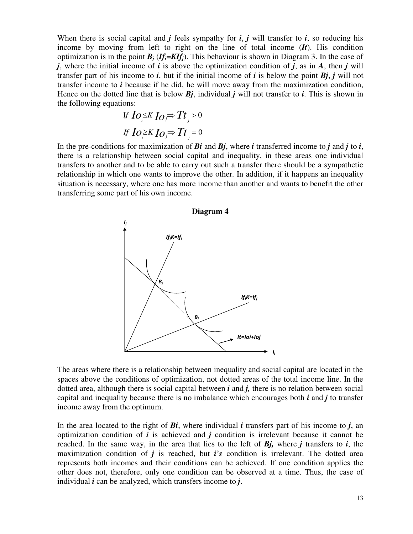When there is social capital and  $j$  feels sympathy for  $i$ ,  $j$  will transfer to  $i$ , so reducing his income by moving from left to right on the line of total income (*It*). His condition optimization is in the point  $B_j$  (*If*<sub>*i*</sub>=*KIf<sub>j</sub>*). This behaviour is shown in Diagram 3. In the case of *j*, where the initial income of *i* is above the optimization condition of *j*, as in *A*, then *j* will transfer part of his income to *i*, but if the initial income of *i* is below the point  $Bj$ , *j* will not transfer income to *i* because if he did, he will move away from the maximization condition, Hence on the dotted line that is below *Bj*, individual *j* will not transfer to *i*. This is shown in the following equations:

0 I 0 *Io Io Tt Io Io Tt j j i j j i If K f K*

In the pre-conditions for maximization of  $Bi$  and  $Bi$ , where  $i$  transferred income to  $j$  and  $j$  to  $i$ , there is a relationship between social capital and inequality, in these areas one individual transfers to another and to be able to carry out such a transfer there should be a sympathetic relationship in which one wants to improve the other. In addition, if it happens an inequality situation is necessary, where one has more income than another and wants to benefit the other transferring some part of his own income.



The areas where there is a relationship between inequality and social capital are located in the spaces above the conditions of optimization, not dotted areas of the total income line. In the dotted area, although there is social capital between *i* and *j,* there is no relation between social capital and inequality because there is no imbalance which encourages both *i* and *j* to transfer income away from the optimum.

In the area located to the right of *Bi*, where individual *i* transfers part of his income to *j*, an optimization condition of *i* is achieved and *j* condition is irrelevant because it cannot be reached. In the same way, in the area that lies to the left of *Bj,* where *j* transfers to *i*, the maximization condition of *j* is reached, but *i*'*s* condition is irrelevant. The dotted area represents both incomes and their conditions can be achieved. If one condition applies the other does not, therefore, only one condition can be observed at a time. Thus, the case of individual *i* can be analyzed, which transfers income to *j*.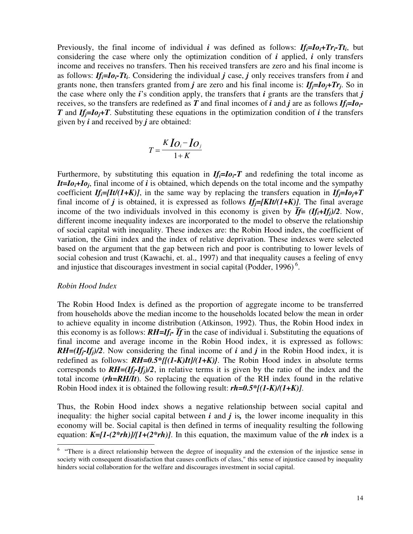Previously, the final income of individual *i* was defined as follows: *Ifi=Ioi+Tri-Tt<sup>i</sup>* , but considering the case where only the optimization condition of *i* applied, *i* only transfers income and receives no transfers. Then his received transfers are zero and his final income is as follows:  $If_i = Io_i - Tt_i$ . Considering the individual *j* case, *j* only receives transfers from *i* and grants none, then transfers granted from *j* are zero and his final income is: *Ifj=Ioj+Tr<sup>j</sup>* . So in the case where only the *i*'s condition apply, the transfers that *i* grants are the transfers that *j* receives, so the transfers are redefined as *T* and final incomes of *i* and *j* are as follows *Ifi=Ioi-T* and  $If_i = Io_i + T$ . Substituting these equations in the optimization condition of *i* the transfers given by *i* and received by *j* are obtained:

$$
T = \frac{K I O_i - I O_j}{1 + K}
$$

Furthermore, by substituting this equation in  $If_i = Io_i - T$  and redefining the total income as *It=Ioi+Io<sup>j</sup>* , final income of *i* is obtained, which depends on the total income and the sympathy coefficient  $I_f = [It/(1+K)]$ , in the same way by replacing the transfers equation in  $I_f = I_0 + T$ final income of *j* is obtained, it is expressed as follows  $If_i = [KIt/(1+K)]$ . The final average income of the two individuals involved in this economy is given by  $\overline{f}f = (If_i + If_j)/2$ . Now, different income inequality indexes are incorporated to the model to observe the relationship of social capital with inequality. These indexes are: the Robin Hood index, the coefficient of variation, the Gini index and the index of relative deprivation. These indexes were selected based on the argument that the gap between rich and poor is contributing to lower levels of social cohesion and trust (Kawachi, et. al., 1997) and that inequality causes a feeling of envy and injustice that discourages investment in social capital (Podder,  $1996$ )<sup>6</sup>.

#### *Robin Hood Index*

The Robin Hood Index is defined as the proportion of aggregate income to be transferred from households above the median income to the households located below the mean in order to achieve equality in income distribution (Atkinson, 1992). Thus, the Robin Hood index in this economy is as follows:  $RH=If_i$ <sup>*-*</sup>  $\overline{If}$  in the case of individual i. Substituting the equations of final income and average income in the Robin Hood index, it is expressed as follows:  $RH=(If_i - If_j)/2$ . Now considering the final income of *i* and *j* in the Robin Hood index, it is redefined as follows:  $RH=0.5*[(1-K)It]/(1+K)$ . The Robin Hood index in absolute terms corresponds to  $RH=(If_i - If_j)/2$ , in relative terms it is given by the ratio of the index and the total income (*rh=RH/It*). So replacing the equation of the RH index found in the relative Robin Hood index it is obtained the following result: *rh=0.5\*[(1-K)/(1+K)]*.

Thus, the Robin Hood index shows a negative relationship between social capital and inequality: the higher social capital between  $\vec{i}$  and  $\vec{j}$  is, the lower income inequality in this economy will be. Social capital is then defined in terms of inequality resulting the following equation: *K=[1-(2\*rh)]/[1+(2\*rh)]*. In this equation, the maximum value of the *rh* index is a

<sup>&</sup>lt;sup>6</sup> "There is a direct relationship between the degree of inequality and the extension of the injustice sense in society with consequent dissatisfaction that causes conflicts of class," this sense of injustice caused by inequality hinders social collaboration for the welfare and discourages investment in social capital.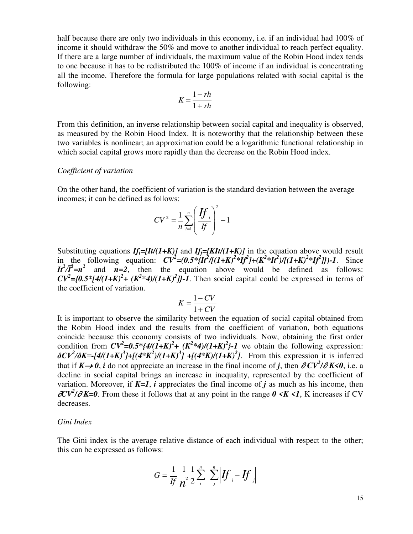half because there are only two individuals in this economy, i.e. if an individual had 100% of income it should withdraw the 50% and move to another individual to reach perfect equality. If there are a large number of individuals, the maximum value of the Robin Hood index tends to one because it has to be redistributed the 100% of income if an individual is concentrating all the income. Therefore the formula for large populations related with social capital is the following:

$$
K = \frac{1 - rh}{1 + rh}
$$

From this definition, an inverse relationship between social capital and inequality is observed, as measured by the Robin Hood Index. It is noteworthy that the relationship between these two variables is nonlinear; an approximation could be a logarithmic functional relationship in which social capital grows more rapidly than the decrease on the Robin Hood index.

#### *Coefficient of variation*

On the other hand, the coefficient of variation is the standard deviation between the average incomes; it can be defined as follows:

$$
CV^{2} = \frac{1}{n} \sum_{i=1}^{n} \left( \frac{H}{\overline{f}} \right)^{2} - 1
$$

Substituting equations  $If_i = [It/(1+K)]$  and  $If_j = [KIt/(1+K)]$  in the equation above would result in the following equation:  $CV^2 = (0.5 * \{It^2/[(1+K)^2 * If^2] + (K^2 * It^2)/[(1+K)^2 * If^2]\})-1$ . Since  $I \rightarrow I \rightarrow I^2$  and  $n=2$ , then the equation above would be defined as follows:  $CV^2 = \{0.5 * [4/(1+K)^2 + (K^2 * 4)/(1+K)^2]\}$ -1. Then social capital could be expressed in terms of the coefficient of variation.

$$
K = \frac{1 - CV}{1 + CV}
$$

It is important to observe the similarity between the equation of social capital obtained from the Robin Hood index and the results from the coefficient of variation, both equations coincide because this economy consists of two individuals. Now, obtaining the first order condition from  $CV^2=0.5*{4/(1+K)^2+(K^2*4)/(1+K)^2}-1$  we obtain the following expression:  $\delta$ CV<sup>2</sup>/ $\delta$ K=-[4/(1+K)<sup>3</sup>]+[(4\*K<sup>2</sup>)/(1+K)<sup>3</sup>]+[(4\*K)/(1+K)<sup>2</sup>]. From this expression it is inferred that if  $K \rightarrow 0$ , *i* do not appreciate an increase in the final income of *j*, then  $\partial CV^2/\partial K \le 0$ , i.e. a decline in social capital brings an increase in inequality, represented by the coefficient of variation. Moreover, if  $K=1$ , *i* appreciates the final income of *j* as much as his income, then  $\partial CV^2/\partial K = 0$ . From these it follows that at any point in the range  $0 \le K \le 1$ , K increases if CV decreases.

#### *Gini Index*

The Gini index is the average relative distance of each individual with respect to the other; this can be expressed as follows:

$$
G = \frac{1}{\overline{If}} \frac{1}{n^2} \frac{1}{2} \sum_{i}^{n} \sum_{j}^{n} \left| \int f_i - \int f_j \right|
$$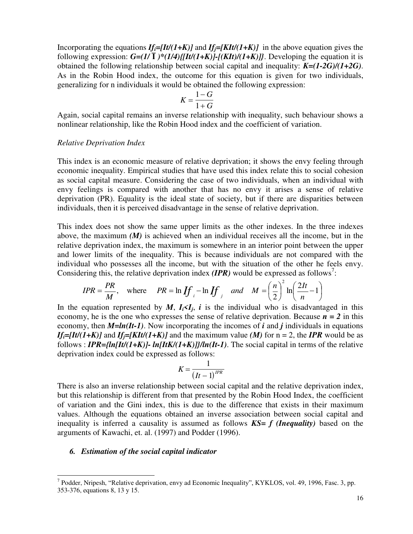Incorporating the equations  $If_i = [It/(1+K)]$  and  $If_j = [KIt/(1+K)]$  in the above equation gives the following expression:  $G=(1/\overline{I})^*(1/4)/[It/(1+K)]-[KIt)/(1+K)]$ . Developing the equation it is obtained the following relationship between social capital and inequality: *K=(1-2G)/(1+2G)*. As in the Robin Hood index, the outcome for this equation is given for two individuals, generalizing for n individuals it would be obtained the following expression:

$$
K = \frac{1 - G}{1 + G}
$$

Again, social capital remains an inverse relationship with inequality, such behaviour shows a nonlinear relationship, like the Robin Hood index and the coefficient of variation.

#### *Relative Deprivation Index*

This index is an economic measure of relative deprivation; it shows the envy feeling through economic inequality. Empirical studies that have used this index relate this to social cohesion as social capital measure. Considering the case of two individuals, when an individual with envy feelings is compared with another that has no envy it arises a sense of relative deprivation (PR). Equality is the ideal state of society, but if there are disparities between individuals, then it is perceived disadvantage in the sense of relative deprivation.

This index does not show the same upper limits as the other indexes. In the three indexes above, the maximum *(M)* is achieved when an individual receives all the income, but in the relative deprivation index, the maximum is somewhere in an interior point between the upper and lower limits of the inequality. This is because individuals are not compared with the individual who possesses all the income, but with the situation of the other he feels envy. Considering this, the relative deprivation index  $(IPR)$  would be expressed as follows<sup>7</sup>:

$$
IPR = \frac{PR}{M}, \text{ where } PR = \ln \iint_{i} -\ln \iint_{j}^{2} \text{ and } M = \left(\frac{n}{2}\right)^{2} \ln \left(\frac{2It}{n} - 1\right)
$$

In the equation represented by *M*,  $I_i \leq I_j$ , *i* is the individual who is disadvantaged in this economy, he is the one who expresses the sense of relative deprivation. Because  $n = 2$  in this economy, then *M=ln(It-1)*. Now incorporating the incomes of *i* and *j* individuals in equations *If*<sub>i</sub>=*[It/(1+K)]* and *If*<sub>i</sub>=*[KIt/(1+K)]* and the maximum value *(M)* for n = 2, the *IPR* would be as follows : *IPR={ln[It/(1+K)]- ln[ItK/(1+K)]}/ln(It-1)*. The social capital in terms of the relative deprivation index could be expressed as follows:

$$
K = \frac{1}{(It-1)^{IPR}}
$$

There is also an inverse relationship between social capital and the relative deprivation index, but this relationship is different from that presented by the Robin Hood Index, the coefficient of variation and the Gini index, this is due to the difference that exists in their maximum values. Although the equations obtained an inverse association between social capital and inequality is inferred a causality is assumed as follows *KS= f (Inequality)* based on the arguments of Kawachi, et. al. (1997) and Podder (1996).

#### *6. Estimation of the social capital indicator*

-

<sup>&</sup>lt;sup>7</sup> Podder, Nripesh, "Relative deprivation, envy ad Economic Inequality", KYKLOS, vol. 49, 1996, Fasc. 3, pp. 353-376, equations 8, 13 y 15.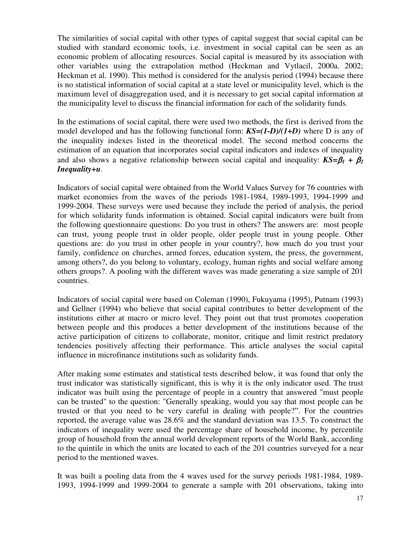The similarities of social capital with other types of capital suggest that social capital can be studied with standard economic tools, i.e. investment in social capital can be seen as an economic problem of allocating resources. Social capital is measured by its association with other variables using the extrapolation method (Heckman and Vytlacil, 2000a. 2002; Heckman et al. 1990). This method is considered for the analysis period (1994) because there is no statistical information of social capital at a state level or municipality level, which is the maximum level of disaggregation used, and it is necessary to get social capital information at the municipality level to discuss the financial information for each of the solidarity funds.

In the estimations of social capital, there were used two methods, the first is derived from the model developed and has the following functional form: *KS=(1-D)/(1+D)* where D is any of the inequality indexes listed in the theoretical model. The second method concerns the estimation of an equation that incorporates social capital indicators and indexes of inequality and also shows a negative relationship between social capital and inequality:  $KS = \beta_1 + \beta_2$ *Inequality+u*.

Indicators of social capital were obtained from the World Values Survey for 76 countries with market economies from the waves of the periods 1981-1984, 1989-1993, 1994-1999 and 1999-2004. These surveys were used because they include the period of analysis, the period for which solidarity funds information is obtained. Social capital indicators were built from the following questionnaire questions: Do you trust in others? The answers are: most people can trust, young people trust in older people, older people trust in young people. Other questions are: do you trust in other people in your country?, how much do you trust your family, confidence on churches, armed forces, education system, the press, the government, among others?, do you belong to voluntary, ecology, human rights and social welfare among others groups?. A pooling with the different waves was made generating a size sample of 201 countries.

Indicators of social capital were based on Coleman (1990), Fukuyama (1995), Putnam (1993) and Gellner (1994) who believe that social capital contributes to better development of the institutions either at macro or micro level. They point out that trust promotes cooperation between people and this produces a better development of the institutions because of the active participation of citizens to collaborate, monitor, critique and limit restrict predatory tendencies positively affecting their performance. This article analyses the social capital influence in microfinance institutions such as solidarity funds.

After making some estimates and statistical tests described below, it was found that only the trust indicator was statistically significant, this is why it is the only indicator used. The trust indicator was built using the percentage of people in a country that answered "must people can be trusted" to the question: "Generally speaking, would you say that most people can be trusted or that you need to be very careful in dealing with people?". For the countries reported, the average value was 28.6% and the standard deviation was 13.5. To construct the indicators of inequality were used the percentage share of household income, by percentile group of household from the annual world development reports of the World Bank, according to the quintile in which the units are located to each of the 201 countries surveyed for a near period to the mentioned waves.

It was built a pooling data from the 4 waves used for the survey periods 1981-1984, 1989- 1993, 1994-1999 and 1999-2004 to generate a sample with 201 observations, taking into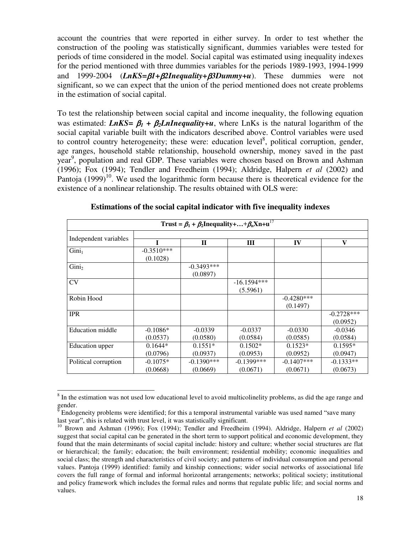account the countries that were reported in either survey. In order to test whether the construction of the pooling was statistically significant, dummies variables were tested for periods of time considered in the model. Social capital was estimated using inequality indexes for the period mentioned with three dummies variables for the periods 1989-1993, 1994-1999 and 1999-2004 (*LnKS=* $\beta$ *1+* $\beta$ *2Inequality+* $\beta$ *3Dummy+u*). These dummies were not significant, so we can expect that the union of the period mentioned does not create problems in the estimation of social capital.

To test the relationship between social capital and income inequality, the following equation was estimated: *LnKS*=  $\beta_1$  +  $\beta_2$ *LnInequality*+*u*, where LnKs is the natural logarithm of the social capital variable built with the indicators described above. Control variables were used to control country heterogeneity; these were: education level<sup>8</sup>, political corruption, gender, age ranges, household stable relationship, household ownership, money saved in the past year<sup>9</sup>, population and real GDP. These variables were chosen based on Brown and Ashman (1996); Fox (1994); Tendler and Freedheim (1994); Aldridge, Halpern *et al* (2002) and Pantoja  $(1999)^{10}$ . We used the logarithmic form because there is theoretical evidence for the existence of a nonlinear relationship. The results obtained with OLS were:

| Trust = $\beta_1$ + $\beta_2$ Inequality++ $\beta_n$ Xn+u <sup>17</sup> |              |              |               |              |              |
|-------------------------------------------------------------------------|--------------|--------------|---------------|--------------|--------------|
| Independent variables                                                   |              |              |               |              |              |
|                                                                         |              | $\mathbf{I}$ | Ш             | IV           | V            |
| Gini <sub>1</sub>                                                       | $-0.3510***$ |              |               |              |              |
|                                                                         | (0.1028)     |              |               |              |              |
| Gini <sub>2</sub>                                                       |              | $-0.3493***$ |               |              |              |
|                                                                         |              | (0.0897)     |               |              |              |
| CV                                                                      |              |              | $-16.1594***$ |              |              |
|                                                                         |              |              | (5.5961)      |              |              |
| Robin Hood                                                              |              |              |               | $-0.4280***$ |              |
|                                                                         |              |              |               | (0.1497)     |              |
| <b>IPR</b>                                                              |              |              |               |              | $-0.2728***$ |
|                                                                         |              |              |               |              | (0.0952)     |
| <b>Education middle</b>                                                 | $-0.1086*$   | $-0.0339$    | $-0.0337$     | $-0.0330$    | $-0.0346$    |
|                                                                         | (0.0537)     | (0.0580)     | (0.0584)      | (0.0585)     | (0.0584)     |
| <b>Education</b> upper                                                  | $0.1644*$    | $0.1551*$    | $0.1502*$     | $0.1523*$    | $0.1595*$    |
|                                                                         | (0.0796)     | (0.0937)     | (0.0953)      | (0.0952)     | (0.0947)     |
| Political corruption                                                    | $-0.1075*$   | $-0.1390***$ | $-0.1399$ *** | $-0.1407***$ | $-0.1333**$  |
|                                                                         | (0.0668)     | (0.0669)     | (0.0671)      | (0.0671)     | (0.0673)     |

**Estimations of the social capital indicator with five inequality indexes** 

<sup>&</sup>lt;sup>8</sup> In the estimation was not used low educational level to avoid multicolinelity problems, as did the age range and gender.

<sup>9</sup> Endogeneity problems were identified; for this a temporal instrumental variable was used named "save many last year", this is related with trust level, it was statistically significant.

<sup>10</sup> Brown and Ashman (1996); Fox (1994); Tendler and Freedheim (1994). Aldridge, Halpern *et al* (2002) suggest that social capital can be generated in the short term to support political and economic development, they found that the main determinants of social capital include: history and culture; whether social structures are flat or hierarchical; the family; education; the built environment; residential mobility; economic inequalities and social class; the strength and characteristics of civil society; and patterns of individual consumption and personal values. Pantoja (1999) identified: family and kinship connections; wider social networks of associational life covers the full range of formal and informal horizontal arrangements; networks; political society; institutional and policy framework which includes the formal rules and norms that regulate public life; and social norms and values.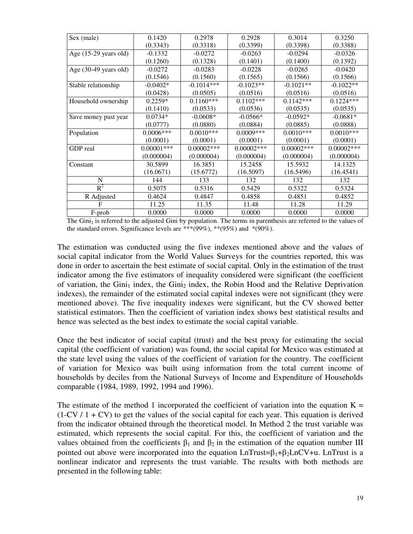| Sex (male)                      | 0.1420        | 0.2978       | 0.2928        | 0.3014        | 0.3250        |
|---------------------------------|---------------|--------------|---------------|---------------|---------------|
|                                 | (0.3343)      | (0.3318)     | (0.3399)      | (0.3398)      | (0.3388)      |
| Age (15-29 years old)           | $-0.1332$     | $-0.0272$    | $-0.0263$     | $-0.0294$     | $-0.0326$     |
|                                 | (0.1260)      | (0.1328)     | (0.1401)      | (0.1400)      | (0.1392)      |
| Age $(30-49 \text{ years old})$ | $-0.0272$     | $-0.0283$    | $-0.0228$     | $-0.0265$     | $-0.0420$     |
|                                 | (0.1546)      | (0.1560)     | (0.1565)      | (0.1566)      | (0.1566)      |
| Stable relationship             | $-0.0402*$    | $-0.1014***$ | $-0.1023**$   | $-0.1021**$   | $-0.1022**$   |
|                                 | (0.0428)      | (0.0505)     | (0.0516)      | (0.0516)      | (0.0516)      |
| Household ownership             | $0.2259*$     | $0.1160***$  | $0.1102***$   | $0.1142***$   | $0.1224***$   |
|                                 | (0.1410)      | (0.0533)     | (0.0536)      | (0.0535)      | (0.0535)      |
| Save money past year            | $0.0734*$     | $-0.0608*$   | $-0.0566*$    | $-0.0592*$    | $-0.0681*$    |
|                                 | (0.0777)      | (0.0880)     | (0.0884)      | (0.0885)      | (0.0888)      |
| Population                      | $0.0006***$   | $0.0010***$  | $0.0009***$   | $0.0010***$   | $0.0010***$   |
|                                 | (0.0001)      | (0.0001)     | (0.0001)      | (0.0001)      | (0.0001)      |
| GDP real                        | $0.00001$ *** | $0.00002***$ | $0.00002$ *** | $0.00002$ *** | $0.00002$ *** |
|                                 | (0.000004)    | (0.000004)   | (0.000004)    | (0.000004)    | (0.000004)    |
| Constant                        | 30.5899       | 16.3851      | 15.2458       | 15.5932       | 14.1325       |
|                                 | (16.0671)     | (15.6772)    | (16.5097)     | (16.5496)     | (16.4541)     |
| N                               | 144           | 133          | 132           | 132           | 132           |
| $R^2$                           | 0.5075        | 0.5316       | 0.5429        | 0.5322        | 0.5324        |
| R Adjusted                      | 0.4624        | 0.4847       | 0.4858        | 0.4851        | 0.4852        |
| $\mathbf F$                     | 11.25         | 11.35        | 11.48         | 11.28         | 11.29         |
| F-prob                          | 0.0000        | 0.0000       | 0.0000        | 0.0000        | 0.0000        |

The  $Gini<sub>2</sub>$  is referred to the adjusted  $Gini$  by population. The terms in parenthesis are referred to the values of the standard errors. Significance levels are \*\*\* $(99\%)$ , \*\* $(95\%)$  and \* $(90\%)$ .

The estimation was conducted using the five indexes mentioned above and the values of social capital indicator from the World Values Surveys for the countries reported, this was done in order to ascertain the best estimate of social capital. Only in the estimation of the trust indicator among the five estimators of inequality considered were significant (the coefficient of variation, the Gini<sub>1</sub> index, the Gini<sub>2</sub> index, the Robin Hood and the Relative Deprivation indexes), the remainder of the estimated social capital indexes were not significant (they were mentioned above). The five inequality indexes were significant, but the CV showed better statistical estimators. Then the coefficient of variation index shows best statistical results and hence was selected as the best index to estimate the social capital variable.

Once the best indicator of social capital (trust) and the best proxy for estimating the social capital (the coefficient of variation) was found, the social capital for Mexico was estimated at the state level using the values of the coefficient of variation for the country. The coefficient of variation for Mexico was built using information from the total current income of households by deciles from the National Surveys of Income and Expenditure of Households comparable (1984, 1989, 1992, 1994 and 1996).

The estimate of the method 1 incorporated the coefficient of variation into the equation  $K =$  $(1-CV / 1 + CV)$  to get the values of the social capital for each year. This equation is derived from the indicator obtained through the theoretical model. In Method 2 the trust variable was estimated, which represents the social capital. For this, the coefficient of variation and the values obtained from the coefficients  $β_1$  and  $β_2$  in the estimation of the equation number III pointed out above were incorporated into the equation  $LnTrust =  $\beta_1 + \beta_2 LnCV + u$ . Ln Trust is a$ nonlinear indicator and represents the trust variable. The results with both methods are presented in the following table: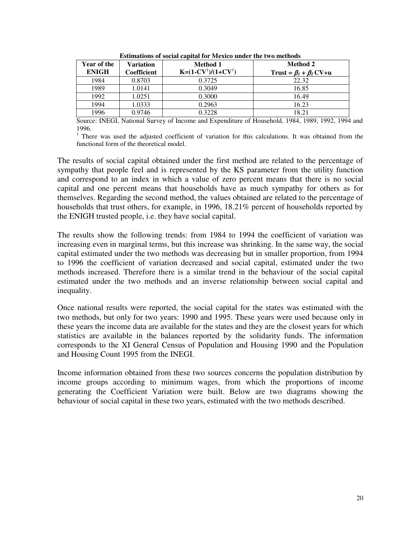| <b>Year of the</b><br><b>ENIGH</b> | Variation<br>Coefficient | Method 1<br>$K=(1-CV^1)/(1+CV^1)$ | <b>Method 2</b><br>Trust = $\beta_1 + \beta_2$ CV+u |
|------------------------------------|--------------------------|-----------------------------------|-----------------------------------------------------|
| 1984                               | 0.8703                   | 0.3725                            | 22.32                                               |
| 1989                               | 1.0141                   | 0.3049                            | 16.85                                               |
| 1992                               | 1.0251                   | 0.3000                            | 16.49                                               |
| 1994                               | 1.0333                   | 0.2963                            | 16.23                                               |
| 1996                               | 0.9746                   | 0.3228                            | 18.21                                               |

**Estimations of social capital for Mexico under the two methods**

Source: INEGI, National Survey of Income and Expenditure of Household, 1984, 1989, 1992, 1994 and 1996.

<sup>1</sup> There was used the adjusted coefficient of variation for this calculations. It was obtained from the functional form of the theoretical model.

The results of social capital obtained under the first method are related to the percentage of sympathy that people feel and is represented by the KS parameter from the utility function and correspond to an index in which a value of zero percent means that there is no social capital and one percent means that households have as much sympathy for others as for themselves. Regarding the second method, the values obtained are related to the percentage of households that trust others, for example, in 1996, 18.21% percent of households reported by the ENIGH trusted people, i.e. they have social capital.

The results show the following trends: from 1984 to 1994 the coefficient of variation was increasing even in marginal terms, but this increase was shrinking. In the same way, the social capital estimated under the two methods was decreasing but in smaller proportion, from 1994 to 1996 the coefficient of variation decreased and social capital, estimated under the two methods increased. Therefore there is a similar trend in the behaviour of the social capital estimated under the two methods and an inverse relationship between social capital and inequality.

Once national results were reported, the social capital for the states was estimated with the two methods, but only for two years: 1990 and 1995. These years were used because only in these years the income data are available for the states and they are the closest years for which statistics are available in the balances reported by the solidarity funds. The information corresponds to the XI General Census of Population and Housing 1990 and the Population and Housing Count 1995 from the INEGI.

Income information obtained from these two sources concerns the population distribution by income groups according to minimum wages, from which the proportions of income generating the Coefficient Variation were built. Below are two diagrams showing the behaviour of social capital in these two years, estimated with the two methods described.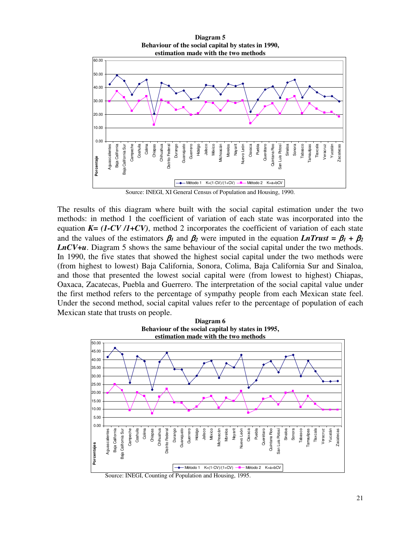

Source: INEGI, XI General Census of Population and Housing, 1990.

The results of this diagram where built with the social capital estimation under the two methods: in method 1 the coefficient of variation of each state was incorporated into the equation  $K = (1-CV/I+CV)$ , method 2 incorporates the coefficient of variation of each state and the values of the estimators  $\beta_1$  and  $\beta_2$  were imputed in the equation *LnTrust* =  $\beta_1 + \beta_2$ *LnCV+u*. Diagram 5 shows the same behaviour of the social capital under the two methods. In 1990, the five states that showed the highest social capital under the two methods were (from highest to lowest) Baja California, Sonora, Colima, Baja California Sur and Sinaloa, and those that presented the lowest social capital were (from lowest to highest) Chiapas, Oaxaca, Zacatecas, Puebla and Guerrero. The interpretation of the social capital value under the first method refers to the percentage of sympathy people from each Mexican state feel. Under the second method, social capital values refer to the percentage of population of each Mexican state that trusts on people.



Source: INEGI, Counting of Population and Housing, 1995.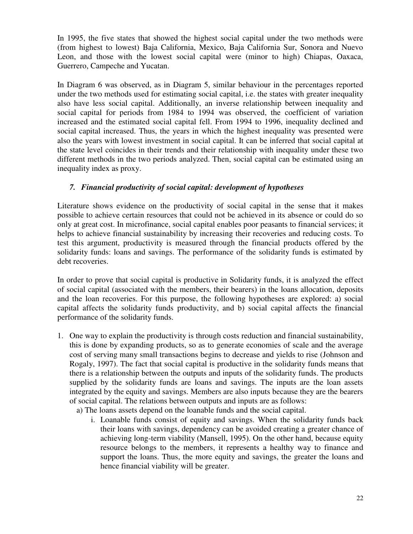In 1995, the five states that showed the highest social capital under the two methods were (from highest to lowest) Baja California, Mexico, Baja California Sur, Sonora and Nuevo Leon, and those with the lowest social capital were (minor to high) Chiapas, Oaxaca, Guerrero, Campeche and Yucatan.

In Diagram 6 was observed, as in Diagram 5, similar behaviour in the percentages reported under the two methods used for estimating social capital, i.e. the states with greater inequality also have less social capital. Additionally, an inverse relationship between inequality and social capital for periods from 1984 to 1994 was observed, the coefficient of variation increased and the estimated social capital fell. From 1994 to 1996, inequality declined and social capital increased. Thus, the years in which the highest inequality was presented were also the years with lowest investment in social capital. It can be inferred that social capital at the state level coincides in their trends and their relationship with inequality under these two different methods in the two periods analyzed. Then, social capital can be estimated using an inequality index as proxy.

## *7. Financial productivity of social capital: development of hypotheses*

Literature shows evidence on the productivity of social capital in the sense that it makes possible to achieve certain resources that could not be achieved in its absence or could do so only at great cost. In microfinance, social capital enables poor peasants to financial services; it helps to achieve financial sustainability by increasing their recoveries and reducing costs. To test this argument, productivity is measured through the financial products offered by the solidarity funds: loans and savings. The performance of the solidarity funds is estimated by debt recoveries.

In order to prove that social capital is productive in Solidarity funds, it is analyzed the effect of social capital (associated with the members, their bearers) in the loans allocation, deposits and the loan recoveries. For this purpose, the following hypotheses are explored: a) social capital affects the solidarity funds productivity, and b) social capital affects the financial performance of the solidarity funds.

- 1. One way to explain the productivity is through costs reduction and financial sustainability, this is done by expanding products, so as to generate economies of scale and the average cost of serving many small transactions begins to decrease and yields to rise (Johnson and Rogaly, 1997). The fact that social capital is productive in the solidarity funds means that there is a relationship between the outputs and inputs of the solidarity funds. The products supplied by the solidarity funds are loans and savings. The inputs are the loan assets integrated by the equity and savings. Members are also inputs because they are the bearers of social capital. The relations between outputs and inputs are as follows:
	- a) The loans assets depend on the loanable funds and the social capital.
		- i. Loanable funds consist of equity and savings. When the solidarity funds back their loans with savings, dependency can be avoided creating a greater chance of achieving long-term viability (Mansell, 1995). On the other hand, because equity resource belongs to the members, it represents a healthy way to finance and support the loans. Thus, the more equity and savings, the greater the loans and hence financial viability will be greater.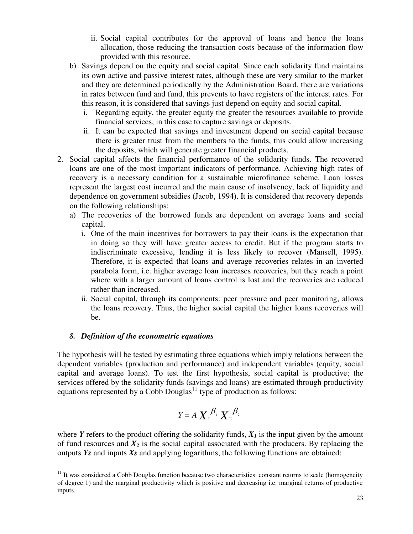- ii. Social capital contributes for the approval of loans and hence the loans allocation, those reducing the transaction costs because of the information flow provided with this resource.
- b) Savings depend on the equity and social capital. Since each solidarity fund maintains its own active and passive interest rates, although these are very similar to the market and they are determined periodically by the Administration Board, there are variations in rates between fund and fund, this prevents to have registers of the interest rates. For this reason, it is considered that savings just depend on equity and social capital.
	- i. Regarding equity, the greater equity the greater the resources available to provide financial services, in this case to capture savings or deposits.
	- ii. It can be expected that savings and investment depend on social capital because there is greater trust from the members to the funds, this could allow increasing the deposits, which will generate greater financial products.
- 2. Social capital affects the financial performance of the solidarity funds. The recovered loans are one of the most important indicators of performance. Achieving high rates of recovery is a necessary condition for a sustainable microfinance scheme. Loan losses represent the largest cost incurred and the main cause of insolvency, lack of liquidity and dependence on government subsidies (Jacob, 1994). It is considered that recovery depends on the following relationships:
	- a) The recoveries of the borrowed funds are dependent on average loans and social capital.
		- i. One of the main incentives for borrowers to pay their loans is the expectation that in doing so they will have greater access to credit. But if the program starts to indiscriminate excessive, lending it is less likely to recover (Mansell, 1995). Therefore, it is expected that loans and average recoveries relates in an inverted parabola form, i.e. higher average loan increases recoveries, but they reach a point where with a larger amount of loans control is lost and the recoveries are reduced rather than increased.
		- ii. Social capital, through its components: peer pressure and peer monitoring, allows the loans recovery. Thus, the higher social capital the higher loans recoveries will be.

#### *8. Definition of the econometric equations*

The hypothesis will be tested by estimating three equations which imply relations between the dependent variables (production and performance) and independent variables (equity, social capital and average loans). To test the first hypothesis, social capital is productive; the services offered by the solidarity funds (savings and loans) are estimated through productivity equations represented by a Cobb Douglas<sup>11</sup> type of production as follows:

$$
Y = A X_1^{\beta_1} X_2^{\beta_2}
$$

where *Y* refers to the product offering the solidarity funds,  $X_I$  is the input given by the amount of fund resources and  $X_2$  is the social capital associated with the producers. By replacing the outputs *Ys* and inputs *Xs* and applying logarithms, the following functions are obtained:

j  $11$  It was considered a Cobb Douglas function because two characteristics: constant returns to scale (homogeneity of degree 1) and the marginal productivity which is positive and decreasing i.e. marginal returns of productive inputs.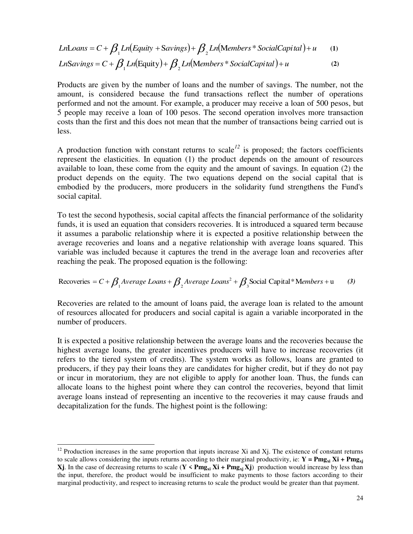$$
LnLoans = C + \beta_1 Ln(Equity + Savings) + \beta_2 Ln(Members * SocialCapital) + u
$$
 (1)  
LnSavings = C +  $\beta_1 Ln(Equity) + \beta_2 Ln(Members * SocialCapital) + u$  (2)

Products are given by the number of loans and the number of savings. The number, not the amount, is considered because the fund transactions reflect the number of operations performed and not the amount. For example, a producer may receive a loan of 500 pesos, but 5 people may receive a loan of 100 pesos. The second operation involves more transaction costs than the first and this does not mean that the number of transactions being carried out is less.

A production function with constant returns to scale<sup> $12$ </sup> is proposed; the factors coefficients represent the elasticities. In equation (1) the product depends on the amount of resources available to loan, these come from the equity and the amount of savings. In equation (2) the product depends on the equity. The two equations depend on the social capital that is embodied by the producers, more producers in the solidarity fund strengthens the Fund's social capital.

To test the second hypothesis, social capital affects the financial performance of the solidarity funds, it is used an equation that considers recoveries. It is introduced a squared term because it assumes a parabolic relationship where it is expected a positive relationship between the average recoveries and loans and a negative relationship with average loans squared. This variable was included because it captures the trend in the average loan and recoveries after reaching the peak. The proposed equation is the following:

Recoveries = 
$$
C + \beta_1
$$
 Average Loans +  $\beta_2$  Average Loans<sup>2</sup> +  $\beta_3$  Social Capital\*Members + u (3)

Recoveries are related to the amount of loans paid, the average loan is related to the amount of resources allocated for producers and social capital is again a variable incorporated in the number of producers.

It is expected a positive relationship between the average loans and the recoveries because the highest average loans, the greater incentives producers will have to increase recoveries (it refers to the tiered system of credits). The system works as follows, loans are granted to producers, if they pay their loans they are candidates for higher credit, but if they do not pay or incur in moratorium, they are not eligible to apply for another loan. Thus, the funds can allocate loans to the highest point where they can control the recoveries, beyond that limit average loans instead of representing an incentive to the recoveries it may cause frauds and decapitalization for the funds. The highest point is the following:

j

 $12$  Production increases in the same proportion that inputs increase Xi and Xj. The existence of constant returns to scale allows considering the inputs returns according to their marginal productivity, ie:  $Y = Pmg_x$ **i**  $Xi + Pmg_x$ **i Xj**. In the case of decreasing returns to scale ( $Y \leq Pmg_{xi}$  **Xi** +  $Pmg_{xi}$  **Xj**) production would increase by less than the input, therefore, the product would be insufficient to make payments to those factors according to their marginal productivity, and respect to increasing returns to scale the product would be greater than that payment.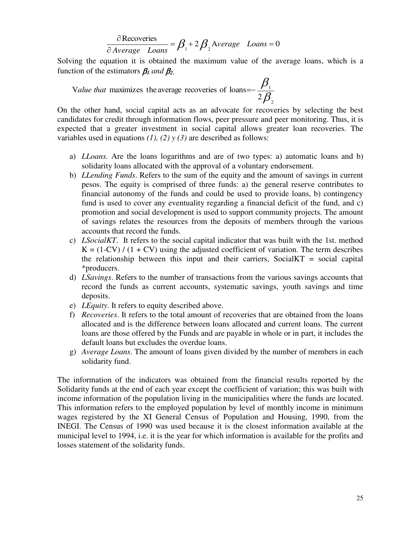$$
\frac{\partial \text{Recoveries}}{\partial \text{Average} - \text{Loans}} = \beta_1 + 2 \beta_2 \text{Average} - \text{Loans} = 0
$$

Solving the equation it is obtained the maximum value of the average loans, which is a function of the estimators  $\beta_1$  and  $\beta_2$ .

Value that maximizes the average recoveries of loans=
$$
\frac{\beta_1}{2\beta_2}
$$

On the other hand, social capital acts as an advocate for recoveries by selecting the best candidates for credit through information flows, peer pressure and peer monitoring. Thus, it is expected that a greater investment in social capital allows greater loan recoveries. The variables used in equations  $(1)$ ,  $(2)$   $\gamma$   $(3)$  are described as follows:

- a) *LLoans.* Are the loans logarithms and are of two types: a) automatic loans and b) solidarity loans allocated with the approval of a voluntary endorsement.
- b) *LLending Funds*. Refers to the sum of the equity and the amount of savings in current pesos. The equity is comprised of three funds: a) the general reserve contributes to financial autonomy of the funds and could be used to provide loans, b) contingency fund is used to cover any eventuality regarding a financial deficit of the fund, and c) promotion and social development is used to support community projects. The amount of savings relates the resources from the deposits of members through the various accounts that record the funds.
- c) *LSocialKT*. It refers to the social capital indicator that was built with the 1st. method  $K = (1-CV) / (1 + CV)$  using the adjusted coefficient of variation. The term describes the relationship between this input and their carriers,  $SocialKT = social capital$ \*producers.
- d) *LSavings*. Refers to the number of transactions from the various savings accounts that record the funds as current accounts, systematic savings, youth savings and time deposits.
- e) *LEquity*. It refers to equity described above.
- f) *Recoveries*. It refers to the total amount of recoveries that are obtained from the loans allocated and is the difference between loans allocated and current loans. The current loans are those offered by the Funds and are payable in whole or in part, it includes the default loans but excludes the overdue loans.
- g) *Average Loans*. The amount of loans given divided by the number of members in each solidarity fund.

The information of the indicators was obtained from the financial results reported by the Solidarity funds at the end of each year except the coefficient of variation; this was built with income information of the population living in the municipalities where the funds are located. This information refers to the employed population by level of monthly income in minimum wages registered by the XI General Census of Population and Housing, 1990, from the INEGI. The Census of 1990 was used because it is the closest information available at the municipal level to 1994, i.e. it is the year for which information is available for the profits and losses statement of the solidarity funds.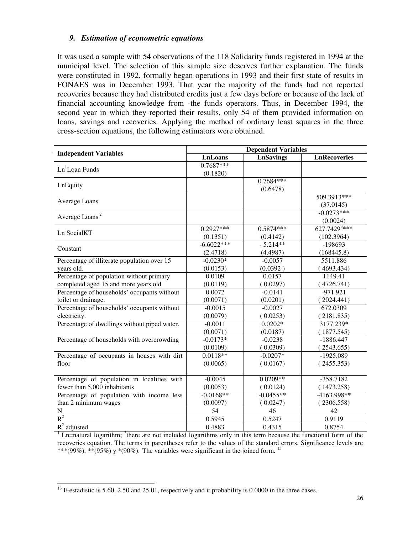#### *9. Estimation of econometric equations*

It was used a sample with 54 observations of the 118 Solidarity funds registered in 1994 at the municipal level. The selection of this sample size deserves further explanation. The funds were constituted in 1992, formally began operations in 1993 and their first state of results in FONAES was in December 1993. That year the majority of the funds had not reported recoveries because they had distributed credits just a few days before or because of the lack of financial accounting knowledge from -the funds operators. Thus, in December 1994, the second year in which they reported their results, only 54 of them provided information on loans, savings and recoveries. Applying the method of ordinary least squares in the three cross-section equations, the following estimators were obtained.

| <b>Independent Variables</b>                 | <b>Dependent Variables</b> |                  |                            |  |
|----------------------------------------------|----------------------------|------------------|----------------------------|--|
|                                              | <b>LnLoans</b>             | <b>LnSavings</b> | <b>LnRecoveries</b>        |  |
| $Ln1$ Loan Funds                             | $0.7687***$                |                  |                            |  |
|                                              | (0.1820)                   |                  |                            |  |
| LnEquity                                     |                            | $0.7684***$      |                            |  |
|                                              |                            | (0.6478)         |                            |  |
| Average Loans                                |                            |                  | 509.3913***                |  |
|                                              |                            |                  | (37.0145)                  |  |
| Average Loans <sup>2</sup>                   |                            |                  | $-0.0273***$               |  |
|                                              |                            |                  | (0.0024)                   |  |
| Ln SocialKT                                  | $0.2927***$                | $0.5874***$      | $627.7429$ <sup>3***</sup> |  |
|                                              | (0.1351)                   | (0.4142)         | (102.3964)                 |  |
| Constant                                     | $-6.6022***$               | $-5.214**$       | $-198693$                  |  |
|                                              | (2.4718)                   | (4.4987)         | (168445.8)                 |  |
| Percentage of illiterate population over 15  | $-0.0230*$                 | $-0.0057$        | 5511.886                   |  |
| years old.                                   | (0.0153)                   | (0.0392)         | (4693.434)                 |  |
| Percentage of population without primary     | 0.0109                     | 0.0157           | 1149.41                    |  |
| completed aged 15 and more years old         | (0.0119)                   | (0.0297)         | (4726.741)                 |  |
| Percentage of households' occupants without  | 0.0072                     | $-0.0141$        | $-971.921$                 |  |
| toilet or drainage.                          | (0.0071)                   | (0.0201)         | (2024.441)                 |  |
| Percentage of households' occupants without  | $-0.0015$                  | $-0.0027$        | 672.0309                   |  |
| electricity.                                 | (0.0079)                   | (0.0253)         | (2181.835)                 |  |
| Percentage of dwellings without piped water. | $-0.0011$                  | $0.0202*$        | 3177.239*                  |  |
|                                              | (0.0071)                   | (0.0187)         | (1877.545)                 |  |
| Percentage of households with overcrowding   | $-0.0173*$                 | $-0.0238$        | $-1886.447$                |  |
|                                              | (0.0109)                   | (0.0309)         | (2543.655)                 |  |
| Percentage of occupants in houses with dirt  | $0.0118**$                 | $-0.0207*$       | $-1925.089$                |  |
| floor                                        | (0.0065)                   | (0.0167)         | (2455.353)                 |  |
|                                              |                            |                  |                            |  |
| Percentage of population in localities with  | $-0.0045$                  | $0.0209**$       | $-358.7182$                |  |
| fewer than 5,000 inhabitants                 | (0.0053)                   | (0.0124)         | (1473.258)                 |  |
| Percentage of population with income less    | $-0.0168**$                | $-0.0455**$      | -4163.998**                |  |
| than 2 minimum wages                         | (0.0097)                   | (0.0247)         | (2306.558)                 |  |
| $\mathbf N$                                  | 54                         | 46               | 42                         |  |
| $R^2$                                        | 0.5945                     | 0.5247           | 0.9119                     |  |
| $R^2$ adjusted                               | 0.4883                     | 0.4315           | 0.8754                     |  |

 $<sup>1</sup>$  Ln=natural logarithm; <sup>3</sup>there are not included logarithms only in this term because the functional form of the</sup> recoveries equation. The terms in parentheses refer to the values of the standard errors. Significance levels are \*\*\*(99%), \*\*(95%) y \*(90%). The variables were significant in the joined form. <sup>13</sup>

<sup>-</sup> $^{13}$  F-estadistic is 5.60, 2.50 and 25.01, respectively and it probability is 0.0000 in the three cases.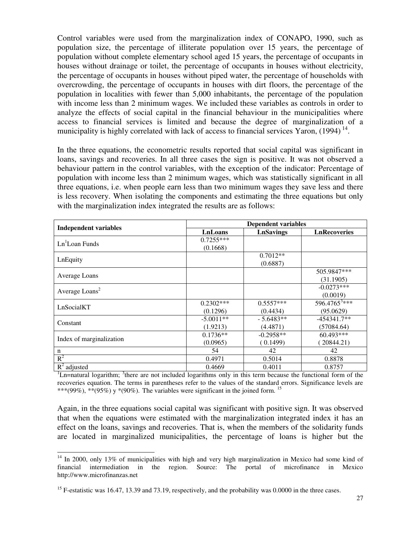Control variables were used from the marginalization index of CONAPO, 1990, such as population size, the percentage of illiterate population over 15 years, the percentage of population without complete elementary school aged 15 years, the percentage of occupants in houses without drainage or toilet, the percentage of occupants in houses without electricity, the percentage of occupants in houses without piped water, the percentage of households with overcrowding, the percentage of occupants in houses with dirt floors, the percentage of the population in localities with fewer than 5,000 inhabitants, the percentage of the population with income less than 2 minimum wages. We included these variables as controls in order to analyze the effects of social capital in the financial behaviour in the municipalities where access to financial services is limited and because the degree of marginalization of a municipality is highly correlated with lack of access to financial services Yaron,  $(1994)$ <sup>14</sup>.

In the three equations, the econometric results reported that social capital was significant in loans, savings and recoveries. In all three cases the sign is positive. It was not observed a behaviour pattern in the control variables, with the exception of the indicator: Percentage of population with income less than 2 minimum wages, which was statistically significant in all three equations, i.e. when people earn less than two minimum wages they save less and there is less recovery. When isolating the components and estimating the three equations but only with the marginalization index integrated the results are as follows:

|                              | <b>Dependent variables</b> |                  |                     |  |
|------------------------------|----------------------------|------------------|---------------------|--|
| <b>Independent variables</b> | <b>LnLoans</b>             | <b>LnSavings</b> | <b>LnRecoveries</b> |  |
| $Ln1$ Loan Funds             | $0.7255***$                |                  |                     |  |
|                              | (0.1668)                   |                  |                     |  |
|                              |                            | $0.7012**$       |                     |  |
| LnEquity                     |                            | (0.6887)         |                     |  |
|                              |                            |                  | 505.9847***         |  |
| Average Loans                |                            |                  | (31.1905)           |  |
| Average Loans <sup>2</sup>   |                            |                  | $-0.0273***$        |  |
|                              |                            |                  | (0.0019)            |  |
| LnSocialKT                   | $0.2302***$                | $0.5557***$      | $596.4765^{3***}$   |  |
|                              | (0.1296)                   | (0.4434)         | (95.0629)           |  |
| Constant                     | $-5.0011**$                | $-5.6483**$      | $-454341.7**$       |  |
|                              | (1.9213)                   | (4.4871)         | (57084.64)          |  |
| Index of marginalization     | $0.1736**$                 | $-0.2958**$      | 60.493***           |  |
|                              | (0.0965)                   | (0.1499)         | 20844.21)           |  |
| n                            | 54                         | 42               | 42                  |  |
| $R^2$                        | 0.4971                     | 0.5014           | 0.8878              |  |
| $R^2$ adjusted               | 0.4669                     | 0.4011           | 0.8757              |  |

 ${}^{1}$ Ln=natural logarithm;  ${}^{3}$ there are not included logarithms only in this term because the functional form of the recoveries equation. The terms in parentheses refer to the values of the standard errors. Significance levels are \*\*\*(99%), \*\*(95%) y \*(90%). The variables were significant in the joined form. <sup>15</sup>

Again, in the three equations social capital was significant with positive sign. It was observed that when the equations were estimated with the marginalization integrated index it has an effect on the loans, savings and recoveries. That is, when the members of the solidarity funds are located in marginalized municipalities, the percentage of loans is higher but the

-

 $14$  In 2000, only 13% of municipalities with high and very high marginalization in Mexico had some kind of financial intermediation in the region. Source: The portal of microfinance in Mexico http://www.microfinanzas.net

<sup>&</sup>lt;sup>15</sup> F-estatistic was 16.47, 13.39 and 73.19, respectively, and the probability was 0.0000 in the three cases.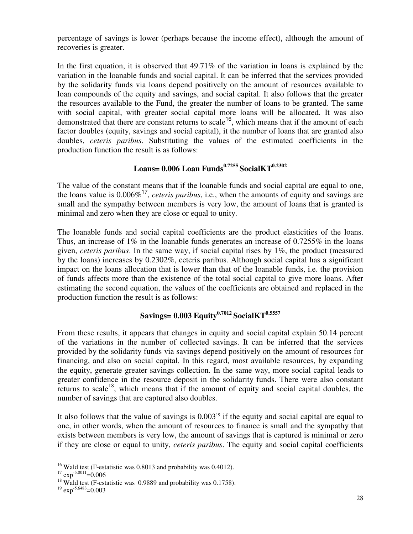percentage of savings is lower (perhaps because the income effect), although the amount of recoveries is greater.

In the first equation, it is observed that 49.71% of the variation in loans is explained by the variation in the loanable funds and social capital. It can be inferred that the services provided by the solidarity funds via loans depend positively on the amount of resources available to loan compounds of the equity and savings, and social capital. It also follows that the greater the resources available to the Fund, the greater the number of loans to be granted. The same with social capital, with greater social capital more loans will be allocated. It was also demonstrated that there are constant returns to scale<sup>16</sup>, which means that if the amount of each factor doubles (equity, savings and social capital), it the number of loans that are granted also doubles, *ceteris paribus*. Substituting the values of the estimated coefficients in the production function the result is as follows:

## **Loans= 0.006 Loan Funds0.7255 SocialKT0.2302**

The value of the constant means that if the loanable funds and social capital are equal to one, the loans value is 0.006%<sup>17</sup> , *ceteris paribus*, i.e., when the amounts of equity and savings are small and the sympathy between members is very low, the amount of loans that is granted is minimal and zero when they are close or equal to unity.

The loanable funds and social capital coefficients are the product elasticities of the loans. Thus, an increase of 1% in the loanable funds generates an increase of 0.7255% in the loans given, *ceteris paribus*. In the same way, if social capital rises by 1%, the product (measured by the loans) increases by 0.2302%, ceteris paribus. Although social capital has a significant impact on the loans allocation that is lower than that of the loanable funds, i.e. the provision of funds affects more than the existence of the total social capital to give more loans. After estimating the second equation, the values of the coefficients are obtained and replaced in the production function the result is as follows:

## **Savings= 0.003 Equity0.7012 SocialKT0.5557**

From these results, it appears that changes in equity and social capital explain 50.14 percent of the variations in the number of collected savings. It can be inferred that the services provided by the solidarity funds via savings depend positively on the amount of resources for financing, and also on social capital. In this regard, most available resources, by expanding the equity, generate greater savings collection. In the same way, more social capital leads to greater confidence in the resource deposit in the solidarity funds. There were also constant returns to scale<sup>18</sup>, which means that if the amount of equity and social capital doubles, the number of savings that are captured also doubles.

It also follows that the value of savings is  $0.003<sup>19</sup>$  if the equity and social capital are equal to one, in other words, when the amount of resources to finance is small and the sympathy that exists between members is very low, the amount of savings that is captured is minimal or zero if they are close or equal to unity, *ceteris paribus*. The equity and social capital coefficients

j  $16$  Wald test (F-estatistic was 0.8013 and probability was 0.4012).

 $17 \exp^{-5.0011} = 0.006$ 

<sup>&</sup>lt;sup>18</sup> Wald test (F-estatistic was 0.9889 and probability was 0.1758).

 $19$  exp<sup>-5.6483</sup>=0.003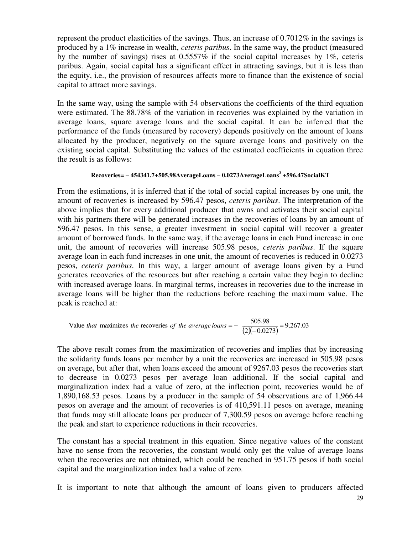represent the product elasticities of the savings. Thus, an increase of 0.7012% in the savings is produced by a 1% increase in wealth, *ceteris paribus*. In the same way, the product (measured by the number of savings) rises at 0.5557% if the social capital increases by 1%, ceteris paribus. Again, social capital has a significant effect in attracting savings, but it is less than the equity, i.e., the provision of resources affects more to finance than the existence of social capital to attract more savings.

In the same way, using the sample with 54 observations the coefficients of the third equation were estimated. The 88.78% of the variation in recoveries was explained by the variation in average loans, square average loans and the social capital. It can be inferred that the performance of the funds (measured by recovery) depends positively on the amount of loans allocated by the producer, negatively on the square average loans and positively on the existing social capital. Substituting the values of the estimated coefficients in equation three the result is as follows:

#### **Recoveries= – 454341.7+505.98AverageLoans – 0.0273AverageLoans<sup>2</sup> +596.47SocialKT**

From the estimations, it is inferred that if the total of social capital increases by one unit, the amount of recoveries is increased by 596.47 pesos, *ceteris paribus*. The interpretation of the above implies that for every additional producer that owns and activates their social capital with his partners there will be generated increases in the recoveries of loans by an amount of 596.47 pesos. In this sense, a greater investment in social capital will recover a greater amount of borrowed funds. In the same way, if the average loans in each Fund increase in one unit, the amount of recoveries will increase 505.98 pesos, *ceteris paribus*. If the square average loan in each fund increases in one unit, the amount of recoveries is reduced in 0.0273 pesos, *ceteris paribus*. In this way, a larger amount of average loans given by a Fund generates recoveries of the resources but after reaching a certain value they begin to decline with increased average loans. In marginal terms, increases in recoveries due to the increase in average loans will be higher than the reductions before reaching the maximum value. The peak is reached at:

Value that maximizes the recoveries of the average loans = 
$$
\frac{505.98}{(2)(-0.0273)} = 9,267.03
$$

The above result comes from the maximization of recoveries and implies that by increasing the solidarity funds loans per member by a unit the recoveries are increased in 505.98 pesos on average, but after that, when loans exceed the amount of 9267.03 pesos the recoveries start to decrease in 0.0273 pesos per average loan additional. If the social capital and marginalization index had a value of zero, at the inflection point, recoveries would be of 1,890,168.53 pesos. Loans by a producer in the sample of 54 observations are of 1,966.44 pesos on average and the amount of recoveries is of 410,591.11 pesos on average, meaning that funds may still allocate loans per producer of 7,300.59 pesos on average before reaching the peak and start to experience reductions in their recoveries.

The constant has a special treatment in this equation. Since negative values of the constant have no sense from the recoveries, the constant would only get the value of average loans when the recoveries are not obtained, which could be reached in 951.75 pesos if both social capital and the marginalization index had a value of zero.

It is important to note that although the amount of loans given to producers affected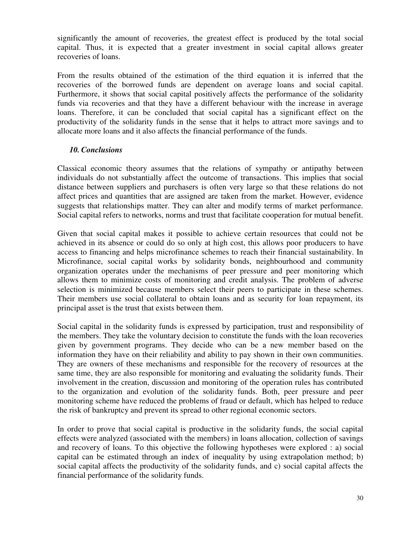significantly the amount of recoveries, the greatest effect is produced by the total social capital. Thus, it is expected that a greater investment in social capital allows greater recoveries of loans.

From the results obtained of the estimation of the third equation it is inferred that the recoveries of the borrowed funds are dependent on average loans and social capital. Furthermore, it shows that social capital positively affects the performance of the solidarity funds via recoveries and that they have a different behaviour with the increase in average loans. Therefore, it can be concluded that social capital has a significant effect on the productivity of the solidarity funds in the sense that it helps to attract more savings and to allocate more loans and it also affects the financial performance of the funds.

### *10. Conclusions*

Classical economic theory assumes that the relations of sympathy or antipathy between individuals do not substantially affect the outcome of transactions. This implies that social distance between suppliers and purchasers is often very large so that these relations do not affect prices and quantities that are assigned are taken from the market. However, evidence suggests that relationships matter. They can alter and modify terms of market performance. Social capital refers to networks, norms and trust that facilitate cooperation for mutual benefit.

Given that social capital makes it possible to achieve certain resources that could not be achieved in its absence or could do so only at high cost, this allows poor producers to have access to financing and helps microfinance schemes to reach their financial sustainability. In Microfinance, social capital works by solidarity bonds, neighbourhood and community organization operates under the mechanisms of peer pressure and peer monitoring which allows them to minimize costs of monitoring and credit analysis. The problem of adverse selection is minimized because members select their peers to participate in these schemes. Their members use social collateral to obtain loans and as security for loan repayment, its principal asset is the trust that exists between them.

Social capital in the solidarity funds is expressed by participation, trust and responsibility of the members. They take the voluntary decision to constitute the funds with the loan recoveries given by government programs. They decide who can be a new member based on the information they have on their reliability and ability to pay shown in their own communities. They are owners of these mechanisms and responsible for the recovery of resources at the same time, they are also responsible for monitoring and evaluating the solidarity funds. Their involvement in the creation, discussion and monitoring of the operation rules has contributed to the organization and evolution of the solidarity funds. Both, peer pressure and peer monitoring scheme have reduced the problems of fraud or default, which has helped to reduce the risk of bankruptcy and prevent its spread to other regional economic sectors.

In order to prove that social capital is productive in the solidarity funds, the social capital effects were analyzed (associated with the members) in loans allocation, collection of savings and recovery of loans. To this objective the following hypotheses were explored : a) social capital can be estimated through an index of inequality by using extrapolation method; b) social capital affects the productivity of the solidarity funds, and c) social capital affects the financial performance of the solidarity funds.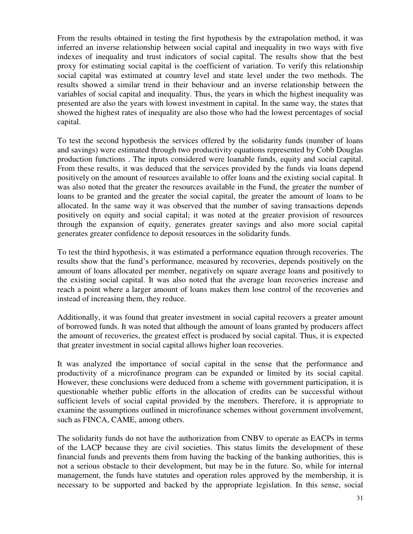From the results obtained in testing the first hypothesis by the extrapolation method, it was inferred an inverse relationship between social capital and inequality in two ways with five indexes of inequality and trust indicators of social capital. The results show that the best proxy for estimating social capital is the coefficient of variation. To verify this relationship social capital was estimated at country level and state level under the two methods. The results showed a similar trend in their behaviour and an inverse relationship between the variables of social capital and inequality. Thus, the years in which the highest inequality was presented are also the years with lowest investment in capital. In the same way, the states that showed the highest rates of inequality are also those who had the lowest percentages of social capital.

To test the second hypothesis the services offered by the solidarity funds (number of loans and savings) were estimated through two productivity equations represented by Cobb Douglas production functions . The inputs considered were loanable funds, equity and social capital. From these results, it was deduced that the services provided by the funds via loans depend positively on the amount of resources available to offer loans and the existing social capital. It was also noted that the greater the resources available in the Fund, the greater the number of loans to be granted and the greater the social capital, the greater the amount of loans to be allocated. In the same way it was observed that the number of saving transactions depends positively on equity and social capital; it was noted at the greater provision of resources through the expansion of equity, generates greater savings and also more social capital generates greater confidence to deposit resources in the solidarity funds.

To test the third hypothesis, it was estimated a performance equation through recoveries. The results show that the fund's performance, measured by recoveries, depends positively on the amount of loans allocated per member, negatively on square average loans and positively to the existing social capital. It was also noted that the average loan recoveries increase and reach a point where a larger amount of loans makes them lose control of the recoveries and instead of increasing them, they reduce.

Additionally, it was found that greater investment in social capital recovers a greater amount of borrowed funds. It was noted that although the amount of loans granted by producers affect the amount of recoveries, the greatest effect is produced by social capital. Thus, it is expected that greater investment in social capital allows higher loan recoveries.

It was analyzed the importance of social capital in the sense that the performance and productivity of a microfinance program can be expanded or limited by its social capital. However, these conclusions were deduced from a scheme with government participation, it is questionable whether public efforts in the allocation of credits can be successful without sufficient levels of social capital provided by the members. Therefore, it is appropriate to examine the assumptions outlined in microfinance schemes without government involvement, such as FINCA, CAME, among others.

The solidarity funds do not have the authorization from CNBV to operate as EACPs in terms of the LACP because they are civil societies. This status limits the development of these financial funds and prevents them from having the backing of the banking authorities, this is not a serious obstacle to their development, but may be in the future. So, while for internal management, the funds have statutes and operation rules approved by the membership, it is necessary to be supported and backed by the appropriate legislation. In this sense, social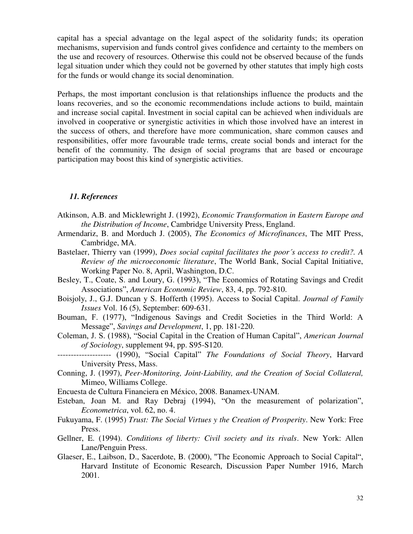capital has a special advantage on the legal aspect of the solidarity funds; its operation mechanisms, supervision and funds control gives confidence and certainty to the members on the use and recovery of resources. Otherwise this could not be observed because of the funds legal situation under which they could not be governed by other statutes that imply high costs for the funds or would change its social denomination.

Perhaps, the most important conclusion is that relationships influence the products and the loans recoveries, and so the economic recommendations include actions to build, maintain and increase social capital. Investment in social capital can be achieved when individuals are involved in cooperative or synergistic activities in which those involved have an interest in the success of others, and therefore have more communication, share common causes and responsibilities, offer more favourable trade terms, create social bonds and interact for the benefit of the community. The design of social programs that are based or encourage participation may boost this kind of synergistic activities.

#### *11. References*

- Atkinson, A.B. and Micklewright J. (1992), *Economic Transformation in Eastern Europe and the Distribution of Income*, Cambridge University Press, England.
- Armendariz, B. and Morduch J. (2005), *The Economics of Microfinances*, The MIT Press, Cambridge, MA.
- Bastelaer, Thierry van (1999), *Does social capital facilitates the poor´s access to credit?. A Review of the microeconomic literature*, The World Bank, Social Capital Initiative, Working Paper No. 8, April, Washington, D.C.
- Besley, T., Coate, S. and Loury, G. (1993), "The Economics of Rotating Savings and Credit Associations", *American Economic Review*, 83, 4, pp. 792-810.
- Boisjoly, J., G.J. Duncan y S. Hofferth (1995). Access to Social Capital. *Journal of Family Issues* Vol. 16 (5), September: 609-631.
- Bouman, F. (1977), "Indigenous Savings and Credit Societies in the Third World: A Message", *Savings and Development*, 1, pp. 181-220.
- Coleman, J. S. (1988), "Social Capital in the Creation of Human Capital", *American Journal of Sociology*, supplement 94, pp. S95-S120.
- -------------------- (1990), "Social Capital" *The Foundations of Social Theory*, Harvard University Press, Mass.
- Conning, J. (1997), *Peer-Monitoring, Joint-Liability, and the Creation of Social Collateral,*  Mimeo, Williams College.
- Encuesta de Cultura Financiera en México, 2008. Banamex-UNAM.
- Esteban, Joan M. and Ray Debraj (1994), "On the measurement of polarization", *Econometrica*, vol. 62, no. 4.
- Fukuyama, F. (1995) *Trust: The Social Virtues y the Creation of Prosperity*. New York: Free Press.
- Gellner, E. (1994). *Conditions of liberty: Civil society and its rivals*. New York: Allen Lane/Penguin Press.
- Glaeser, E., Laibson, D., Sacerdote, B. (2000), "The Economic Approach to Social Capital", Harvard Institute of Economic Research, Discussion Paper Number 1916, March 2001.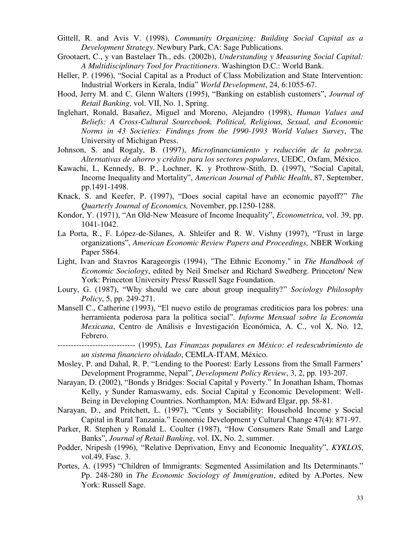- Gittell, R. and Avis V. (1998), *Community Organizing: Building Social Capital as a Development Strategy*. Newbury Park, CA: Sage Publications.
- Grootaert, C., y van Bastelaer Th., eds. (2002b), *Understanding y Measuring Social Capital: A Multidisciplinary Tool for Practitioners*. Washington D.C.: World Bank.
- Heller, P. (1996), "Social Capital as a Product of Class Mobilization and State Intervention: Industrial Workers in Kerala, India" *World Development*, 24, 6:1055-67.
- Hood, Jerry M. and C. Glenn Walters (1995), "Banking on establish customers", *Journal of Retail Banking,* vol. VII, No. 1, Spring.
- Inglehart, Ronald, Basañez, Miguel and Moreno, Alejandro (1998), *Human Values and Beliefs: A Cross-Cultural Sourcebook. Political, Religious, Sexual, and Economic Norms in 43 Societies: Findings from the 1990-1993 World Values Survey*, The University of Michigan Press.
- Johnson, S. and Rogaly, B. (1997), *Microfinanciamiento y reducción de la pobreza. Alternativas de ahorro y crédito para los sectores populares*, UEDC, Oxfam, México.
- Kawachi, I., Kennedy, B. P., Lochner, K. y Prothrow-Stith, D. (1997), "Social Capital, Income Inequality and Mortality", *American Journal of Public Health*, 87, September, pp.1491-1498.
- Knack, S. and Keefer, P. (1997), "Does social capital have an economic payoff?" *The Quarterly Journal of Economics,* November, pp.1250-1288.
- Kondor, Y. (1971), "An Old-New Measure of Income Inequality", *Econometrica*, vol. 39, pp. 1041-1042.
- La Porta, R., F. López-de-Silanes, A. Shleifer and R. W. Vishny (1997), "Trust in large organizations", *American Economic Review Papers and Proceedings,* NBER Working Paper 5864.
- Light, Ivan and Stavros Karageorgis (1994), "The Ethnic Economy." in *The Handbook of Economic Sociology*, edited by Neil Smelser and Richard Swedberg. Princeton/ New York: Princeton University Press/ Russell Sage Foundation.
- Loury, G. (1987), "Why should we care about group inequality?" *Sociology Philosophy Policy*, 5, pp. 249-271.
- Mansell C., Catherine (1993), "El nuevo estilo de programas crediticios para los pobres: una herramienta poderosa para la política social". *Informe Mensual sobre la Economía Mexicana*, Centro de Análisis e Investigación Económica, A. C., vol X, No. 12, Febrero.
- ----------------------------- (1995), *Las Finanzas populares en México: el redescubrimiento de un sistema financiero olvidado*, CEMLA-ITAM, México.
- Mosley, P. and Dahal, R. P. "Lending to the Poorest: Early Lessons from the Small Farmers' Development Programme, Nepal", *Development Policy Review*, 3, 2, pp. 193-207.
- Narayan, D. (2002), "Bonds y Bridges: Social Capital y Poverty." In Jonathan Isham, Thomas Kelly, y Sunder Ramaswamy, eds. Social Capital y Economic Development: Well-Being in Developing Countries. Northampton, MA: Edward Elgar, pp. 58-81.
- Narayan, D., and Pritchett, L. (1997), "Cents y Sociability: Household Income y Social Capital in Rural Tanzania." Economic Development y Cultural Change 47(4): 871-97.
- Parker, R. Stephen y Ronald L. Coulter (1987), "How Consumers Rate Small and Large Banks", *Journal of Retail Banking*, vol. IX, No. 2, summer.
- Podder, Nripesh (1996), "Relative Deprivation, Envy and Economic Inequality", *KYKLOS*, vol.49, Fasc. 3.
- Portes, A. (1995) "Children of Immigrants: Segmented Assimilation and Its Determinants." Pp. 248-280 in *The Economic Sociology of Immigration*, edited by A.Portes. New York: Russell Sage.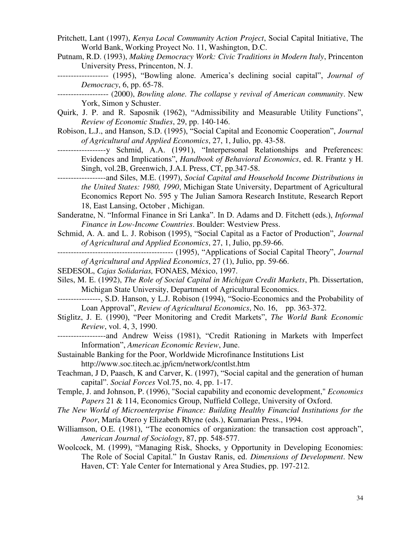- Pritchett, Lant (1997), *Kenya Local Community Action Project*, Social Capital Initiative, The World Bank, Working Proyect No. 11, Washington, D.C.
- Putnam, R.D. (1993), *Making Democracy Work: Civic Traditions in Modern Italy*, Princenton University Press, Princenton, N. J.
- ------------------- (1995), "Bowling alone. America's declining social capital", *Journal of Democracy*, 6, pp. 65-78.
- ------------------- (2000), *Bowling alone. The collapse y revival of American community*. New York, Simon y Schuster.
- Quirk, J. P. and R. Saposnik (1962), "Admissibility and Measurable Utility Functions", *Review of Economic Studies*, 29, pp. 140-146.
- Robison, L.J., and Hanson, S.D. (1995), "Social Capital and Economic Cooperation", *Journal of Agricultural and Applied Economics*, 27, 1, Julio, pp. 43-58.
- ------------------y Schmid, A.A. (1991), "Interpersonal Relationships and Preferences: Evidences and Implications", *Handbook of Behavioral Economics*, ed. R. Frantz y H. Singh, vol.2B, Greenwich, J.A.I. Press, CT, pp.347-58.
- ------------------and Siles, M.E. (1997), *Social Capital and Household Income Distributions in the United States: 1980, 1990*, Michigan State University, Department of Agricultural Economics Report No. 595 y The Julian Samora Research Institute, Research Report 18, East Lansing, October , Michigan.
- Sanderatne, N. "Informal Finance in Sri Lanka". In D. Adams and D. Fitchett (eds.), *Informal Finance in Low-Income Countries*. Boulder: Westview Press.
- Schmid, A. A. and L. J. Robison (1995), "Social Capital as a Factor of Production", *Journal of Agricultural and Applied Economics*, 27, 1, Julio, pp.59-66.
- ------------------------------------------- (1995), "Applications of Social Capital Theory", *Journal of Agricultural and Applied Economics*, 27 (1), Julio, pp. 59-66.
- SEDESOL, *Cajas Solidarias,* FONAES, México, 1997.
- Siles, M. E. (1992), *The Role of Social Capital in Michigan Credit Markets*, Ph. Dissertation, Michigan State University, Department of Agricultural Economics.
- ----------------, S.D. Hanson, y L.J. Robison (1994), "Socio-Economics and the Probability of Loan Approval", *Review of Agricultural Economics*, No. 16, pp. 363-372.
- Stiglitz, J. E. (1990), "Peer Monitoring and Credit Markets", *The World Bank Economic Review*, vol. 4, 3, 1990.
- ------------------and Andrew Weiss (1981), "Credit Rationing in Markets with Imperfect Information", *American Economic Review*, June.
- Sustainable Banking for the Poor, Worldwide Microfinance Institutions List <http://www.soc.titech.ac.jp/icm/network/contlst.htm>
- Teachman, J D, Paasch, K and Carver, K. (1997), "Social capital and the generation of human capital". *Social Forces* Vol.75, no. 4, pp. 1-17.
- Temple, J. and Johnson, P. (1996), ["Social capability and economic development,](http://ideas.repec.org/p/nuf/econwp/0021.html)" *[Economics](http://ideas.repec.org/s/nuf/econwp.html)  [Papers](http://ideas.repec.org/s/nuf/econwp.html)* 21 & 114, Economics Group, Nuffield College, University of Oxford.
- *The New World of Microenterprise Finance: Building Healthy Financial Institutions for the Poor*, María Otero y Elizabeth Rhyne (eds.), Kumarian Press., 1994.
- Williamson, O.E. (1981), "The economics of organization: the transaction cost approach", *American Journal of Sociology*, 87, pp. 548-577.
- Woolcock, M. (1999), "Managing Risk, Shocks, y Opportunity in Developing Economies: The Role of Social Capital." In Gustav Ranis, ed. *Dimensions of Development*. New Haven, CT: Yale Center for International y Area Studies, pp. 197-212.